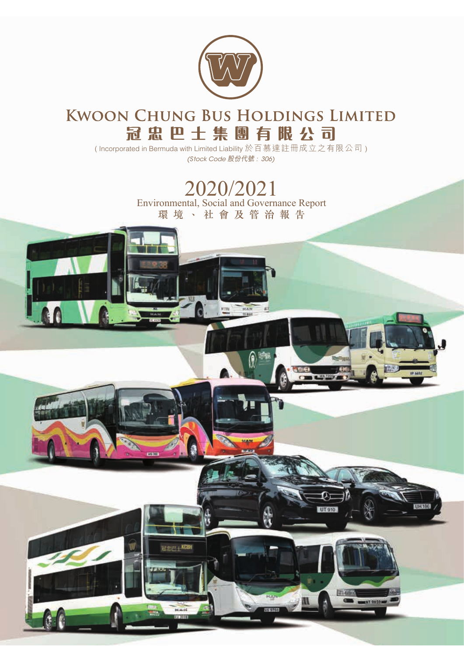

## **KWOON CHUNG BUS HOLDINGS LIMITED 冠忠巴士集團有限公 司**

( Incorporated in Bermuda with Limited Liability 於百慕達註冊成立之有限公司 ) (Stock Code 股份代號 : 306)

> Environmental, Social and Governance Report 環境、社會及管治報告 2020/2021

> > 2史中 | KCBI

**HT 910**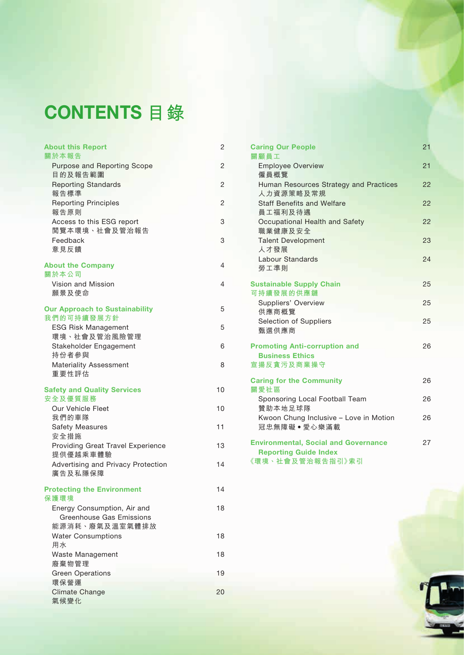# CONTENTS **目錄**

| <b>About this Report</b><br>關於本報告                              | 2  |
|----------------------------------------------------------------|----|
| Purpose and Reporting Scope                                    | 2  |
| 目的及報告範圍                                                        |    |
| <b>Reporting Standards</b><br>報告標準                             | 2  |
| <b>Reporting Principles</b><br>報告原則                            | 2  |
| Access to this ESG report<br>閲覽本環境、社會及管治報告                     | 3  |
| Feedback<br>意見反饋                                               | 3  |
| <b>About the Company</b><br>關於本公司                              | 4  |
| Vision and Mission<br>願景及使命                                    | 4  |
| <b>Our Approach to Sustainability</b><br>我們的可持續發展方針            | 5  |
| <b>ESG Risk Management</b><br>環境、社會及管治風險管理                     | 5  |
| Stakeholder Engagement                                         | 6  |
| 持份者參與<br><b>Materiality Assessment</b><br>重要性評估                | 8  |
| <b>Safety and Quality Services</b>                             | 10 |
| 安全及優質服務<br>Our Vehicle Fleet                                   | 10 |
| 我們的車隊                                                          |    |
| <b>Safety Measures</b><br>安全措施                                 | 11 |
| Providing Great Travel Experience<br>提供優越乘車體驗                  | 13 |
| Advertising and Privacy Protection<br>廣告及私隱保障                  | 14 |
| <b>Protecting the Environment</b><br>保護環境                      | 14 |
| Energy Consumption, Air and<br><b>Greenhouse Gas Emissions</b> | 18 |
| 能源消耗、廢氣及溫室氣體排放<br><b>Water Consumptions</b>                    | 18 |
| 用水<br>Waste Management                                         | 18 |
| 廢棄物管理<br><b>Green Operations</b>                               | 19 |
| 環保營運                                                           |    |
| <b>Climate Change</b><br>氣候變化                                  | 20 |
|                                                                |    |

| <b>Caring Our People</b>                                                                        | 21 |
|-------------------------------------------------------------------------------------------------|----|
| 關顧員工                                                                                            |    |
| <b>Employee Overview</b><br>僱員概覽                                                                | 21 |
| Human Resources Strategy and Practices<br>人力資源策略及常規                                             | 22 |
| <b>Staff Benefits and Welfare</b><br>員工福利及待遇                                                    | 22 |
| Occupational Health and Safety<br>職業健康及安全                                                       | 22 |
| <b>Talent Development</b><br>人才發展                                                               | 23 |
| Labour Standards<br>勞工準則                                                                        | 24 |
|                                                                                                 |    |
| <b>Sustainable Supply Chain</b><br>可持續發展的供應鏈                                                    | 25 |
| <b>Suppliers' Overview</b><br>供應商概覽                                                             | 25 |
| Selection of Suppliers<br>甄選供應商                                                                 | 25 |
| <b>Promoting Anti-corruption and</b><br><b>Business Ethics</b>                                  | 26 |
| 宣揚反貪污及商業操守                                                                                      |    |
| <b>Caring for the Community</b><br>關愛社區                                                         | 26 |
| Sponsoring Local Football Team<br>贊助本地足球隊                                                       | 26 |
| Kwoon Chung Inclusive - Love in Motion<br>冠忠無障礙•愛心樂滿載                                           | 26 |
| <b>Environmental, Social and Governance</b><br><b>Reporting Guide Index</b><br>《環境、社會及管治報告指引》索引 | 27 |
|                                                                                                 |    |

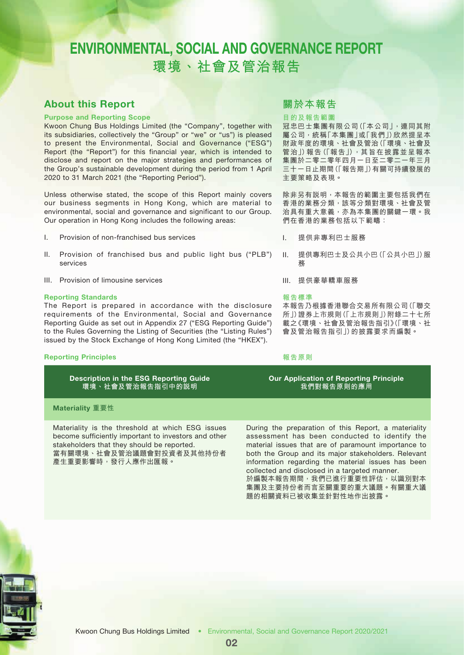### About this Report

#### Purpose and Reporting Scope

Kwoon Chung Bus Holdings Limited (the "Company", together with its subsidiaries, collectively the "Group" or "we" or "us") is pleased to present the Environmental, Social and Governance ("ESG") Report (the "Report") for this financial year, which is intended to disclose and report on the major strategies and performances of the Group's sustainable development during the period from 1 April 2020 to 31 March 2021 (the "Reporting Period").

Unless otherwise stated, the scope of this Report mainly covers our business segments in Hong Kong, which are material to environmental, social and governance and significant to our Group. Our operation in Hong Kong includes the following areas:

- I. Provision of non-franchised bus services
- II. Provision of franchised bus and public light bus ("PLB") services
- III. Provision of limousine services

#### Reporting Standards

The Report is prepared in accordance with the disclosure requirements of the Environmental, Social and Governance Reporting Guide as set out in Appendix 27 ("ESG Reporting Guide") to the Rules Governing the Listing of Securities (the "Listing Rules") issued by the Stock Exchange of Hong Kong Limited (the "HKEX").

#### Reporting Principles

Description in the ESG Reporting Guide **環境、社會及管治報告指引中的說明**

### **關於本報告**

#### **目的及報告範圍**

冠忠巴士集團有限公司(「本公司」,連同其附 屬公司,統稱「本集團」或「我們」)欣然提呈本 財政年度的環境、社會及管治(「環境、社會及 管治」)報告(「報告」),其旨在披露並呈報本 集團於二零二零年四月一日至二零二一年三月 三十一日止期間(「報告期」)有關可持續發展的 主要策略及表現。

除非另有說明,本報告的範圍主要包括我們在 香港的業務分類,該等分類對環境、社會及管 治具有重大意義,亦為本集團的關鍵一環。我 們在香港的業務包括以下範疇:

I. 提供非專利巴士服務

II. 提供專利巴士及公共小巴(「公共小巴」)服 務

III. 提供豪華轎車服務

#### **報告標準**

本報告乃根據香港聯合交易所有限公司(「聯交 所」)證券上市規則(「上市規則」)附錄二十七所 載之《環境、社會及管治報告指引》(「環境、社 會及管治報告指引」)的披露要求而編製。

#### **報告原則**

#### Our Application of Reporting Principle **我們對報告原則的應用**

### Materiality **重要性**

Materiality is the threshold at which ESG issues become sufficiently important to investors and other stakeholders that they should be reported. 當有關環境、社會及管治議題會對投資者及其他持份者 產生重要影響時,發行人應作出匯報。

During the preparation of this Report, a materiality assessment has been conducted to identify the material issues that are of paramount importance to both the Group and its major stakeholders. Relevant information regarding the material issues has been collected and disclosed in a targeted manner. 於編製本報告期間,我們已進行重要性評估,以識別對本

集團及主要持份者而言至關重要的重大議題。有關重大議 題的相關資料已被收集並針對性地作出披露。

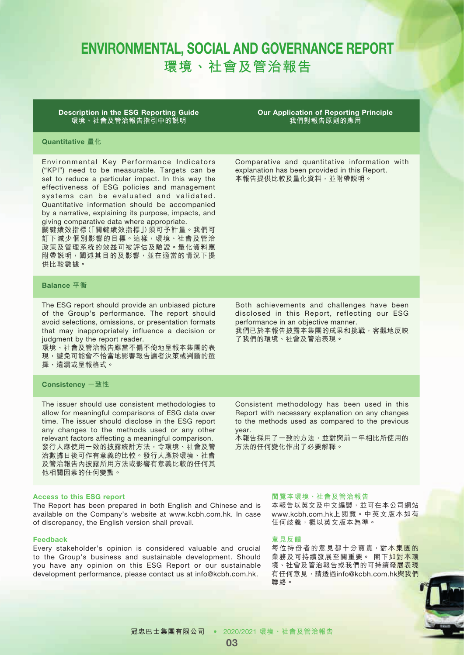Description in the ESG Reporting Guide **環境、社會及管治報告指引中的說明**

Our Application of Reporting Principle **我們對報告原則的應用**

Comparative and quantitative information with explanation has been provided in this Report. 本報告提供比較及量化資料,並附帶說明。

### Quantitative **量化**

Environmental Key Performance Indicators ("KPI") need to be measurable. Targets can be set to reduce a particular impact. In this way the effectiveness of ESG policies and management systems can be evaluated and validated. Quantitative information should be accompanied by a narrative, explaining its purpose, impacts, and giving comparative data where appropriate.

關鍵績效指標(「關鍵績效指標」)須可予計量。我們可 訂下減少個別影響的目標。這樣,環境、社會及管治 政策及管理系統的效益可被評估及驗證。量化資料應 附帶説明,闡述其目的及影響,並在適當的情況下提 供比較數據。

#### Balance **平衡**

The ESG report should provide an unbiased picture of the Group's performance. The report should avoid selections, omissions, or presentation formats that may inappropriately influence a decision or judgment by the report reader.

環境、社會及管治報告應當不偏不倚地呈報本集團的表 現,避免可能會不恰當地影響報告讀者決策或判斷的選 擇、遺漏或呈報格式。

#### Consistency **一致性**

The issuer should use consistent methodologies to allow for meaningful comparisons of ESG data over time. The issuer should disclose in the ESG report any changes to the methods used or any other relevant factors affecting a meaningful comparison. 發行人應使用一致的披露統計方法,令環境、社會及管 治數據日後可作有意義的比較。發行人應於環境、社會 及管治報告內披露所用方法或影響有意義比較的任何其 他相關因素的任何變動。

#### Access to this ESG report

The Report has been prepared in both English and Chinese and is available on the Company's website at www.kcbh.com.hk. In case of discrepancy, the English version shall prevail.

#### Feedback

Every stakeholder's opinion is considered valuable and crucial to the Group's business and sustainable development. Should you have any opinion on this ESG Report or our sustainable development performance, please contact us at info@kcbh.com.hk.

#### **閱覽本環境、社會及管治報告**

本報告以英文及中文編製,並可在本公司網站 www.kcbh.com.hk 上閱覽。中英文版本如有 任何歧義,概以英文版本為準。

#### **意見反饋**

方法的任何變化作出了必要解釋。

每位持份者的意見都十分寶貴,對本集團的 業務及可持續發展至關重要。 閣下如對本環 境、社會及管治報告或我們的可持續發展表現 有任何意見,請透過info@kcbh.com.hk與我們 聯絡。



Consistent methodology has been used in this Report with necessary explanation on any changes to the methods used as compared to the previous

本報告採用了一致的方法,並對與前一年相比所使用的

year.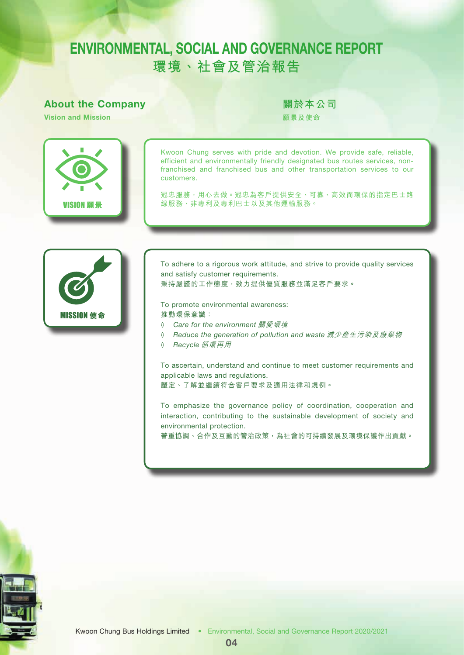### About the Company

Vision and Mission

**關於本公司**

**願景及使命**



Kwoon Chung serves with pride and devotion. We provide safe, reliable, efficient and environmentally friendly designated bus routes services, nonfranchised and franchised bus and other transportation services to our customers.

冠忠服務,用心去做。冠忠為客戶提供安全、可靠、高效而環保的指定巴士路 線服務、非專利及專利巴士以及其他運輸服務。



To adhere to a rigorous work attitude, and strive to provide quality services and satisfy customer requirements. 秉持嚴謹的工作態度,致力提供優質服務並滿足客戶要求。

To promote environmental awareness: 推動環保意識:

- ◊ *Care for the environment* 關愛環境
- ◊ *Reduce the generation of pollution and waste* 減少產生污染及廢棄物
- ◊ *Recycle* 循環再用

To ascertain, understand and continue to meet customer requirements and applicable laws and regulations.

釐定、了解並繼續符合客戶要求及適用法律和規例。

To emphasize the governance policy of coordination, cooperation and interaction, contributing to the sustainable development of society and environmental protection.

著重協調、合作及互動的管治政策,為社會的可持續發展及環境保護作出貢獻。

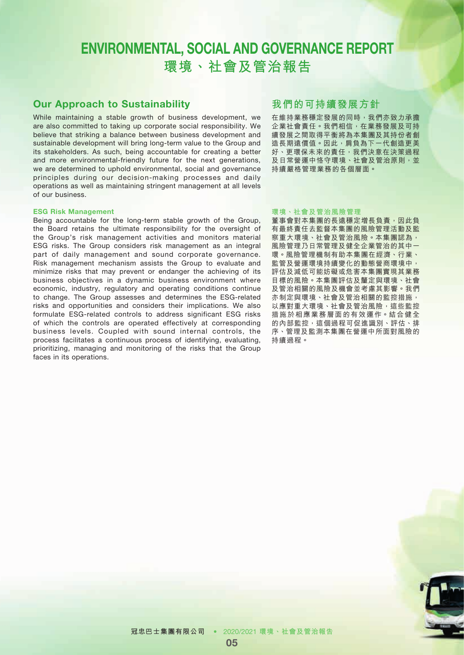### Our Approach to Sustainability

While maintaining a stable growth of business development, we are also committed to taking up corporate social responsibility. We believe that striking a balance between business development and sustainable development will bring long-term value to the Group and its stakeholders. As such, being accountable for creating a better and more environmental-friendly future for the next generations, we are determined to uphold environmental, social and governance principles during our decision-making processes and daily operations as well as maintaining stringent management at all levels of our business.

#### ESG Risk Management

Being accountable for the long-term stable growth of the Group, the Board retains the ultimate responsibility for the oversight of the Group's risk management activities and monitors material ESG risks. The Group considers risk management as an integral part of daily management and sound corporate governance. Risk management mechanism assists the Group to evaluate and minimize risks that may prevent or endanger the achieving of its business objectives in a dynamic business environment where economic, industry, regulatory and operating conditions continue to change. The Group assesses and determines the ESG-related risks and opportunities and considers their implications. We also formulate ESG-related controls to address significant ESG risks of which the controls are operated effectively at corresponding business levels. Coupled with sound internal controls, the process facilitates a continuous process of identifying, evaluating, prioritizing, managing and monitoring of the risks that the Group faces in its operations.

### **我們的可持續發展方針**

在維持業務穩定發展的同時,我們亦致力承擔 企業社會責任。我們相信,在業務發展及可持 續發展之間取得平衡將為本集團及其持份者創 造長期遠價值。因此,肩負為下一代創造更美 好、更環保未來的責任,我們決意在決策過程 及日常營運中恪守環境、社會及管治原則,並 持續嚴格管理業務的各個層面。

#### **環境、社會及管治風險管理**

董事會對本集團的長遠穩定增長負責,因此負 有最終責任去監督本集團的風險管理活動及監 察重大環境、社會及管治風險。本集團認為, 風險管理乃日常管理及健全企業管治的其中一 環。風險管理機制有助本集團在經濟、行業、 監管及營運環境持續變化的動態營商環境中, 評估及減低可能妨礙或危害本集團實現其業務 目標的風險。本集團評估及釐定與環境、社會 及管治相關的風險及機會並考慮其影響。我們 亦制定與環境、社會及管治相關的監控措施, 以應對重大環境、社會及管治風險,這些監控 措施於相應業務層面的有效運作。結合健全 的內部監控,這個過程可促進識別、評估、排 序、管理及監測本集團在營運中所面對風險的 持續過程。

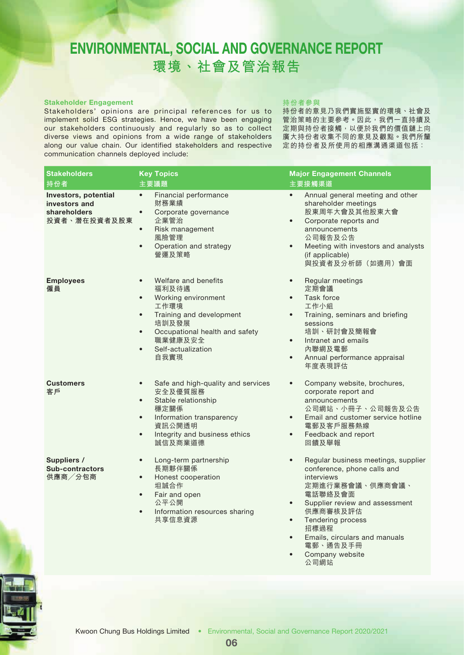#### Stakeholder Engagement

Stakeholders' opinions are principal references for us to implement solid ESG strategies. Hence, we have been engaging our stakeholders continuously and regularly so as to collect diverse views and opinions from a wide range of stakeholders along our value chain. Our identified stakeholders and respective communication channels deployed include:

#### **持份者參與**

持份者的意見乃我們實施堅實的環境、社會及 管治策略的主要參考。因此,我們一直持續及 定期與持份者接觸,以便於我們的價值鏈上向 廣大持份者收集不同的意見及觀點。我們所釐 定的持份者及所使用的相應溝通渠道包括:

| Stakeholders                                                          | <b>Key Topics</b>                                                                                                                                                                                                                             | <b>Major Engagement Channels</b>                                                                                                                                                                                                                                                                                                   |
|-----------------------------------------------------------------------|-----------------------------------------------------------------------------------------------------------------------------------------------------------------------------------------------------------------------------------------------|------------------------------------------------------------------------------------------------------------------------------------------------------------------------------------------------------------------------------------------------------------------------------------------------------------------------------------|
| 持份者                                                                   | 主要議題                                                                                                                                                                                                                                          | 主要接觸渠道                                                                                                                                                                                                                                                                                                                             |
| Investors, potential<br>investors and<br>shareholders<br>投資者、潛在投資者及股東 | Financial performance<br>$\bullet$<br>財務業績<br>Corporate governance<br>$\bullet$<br>企業管治<br>Risk management<br>$\bullet$<br>風險管理<br>Operation and strategy<br>$\bullet$<br>營運及策略                                                               | Annual general meeting and other<br>$\bullet$<br>shareholder meetings<br>股東周年大會及其他股東大會<br>Corporate reports and<br>$\bullet$<br>announcements<br>公司報告及公告<br>Meeting with investors and analysts<br>$\bullet$<br>(if applicable)<br>與投資者及分析師(如適用)會面                                                                                 |
| <b>Employees</b><br>僱員                                                | Welfare and benefits<br>$\bullet$<br>福利及待遇<br>Working environment<br>$\bullet$<br>工作環境<br>Training and development<br>$\bullet$<br>培訓及發展<br>Occupational health and safety<br>$\bullet$<br>職業健康及安全<br>Self-actualization<br>$\bullet$<br>自我實現 | Regular meetings<br>$\bullet$<br>定期會議<br>Task force<br>$\bullet$<br>工作小組<br>Training, seminars and briefing<br>$\bullet$<br>sessions<br>培訓、研討會及簡報會<br>Intranet and emails<br>$\bullet$<br>內聯網及電郵<br>Annual performance appraisal<br>$\bullet$<br>年度表現評估                                                                            |
| <b>Customers</b><br>客戶                                                | Safe and high-quality and services<br>$\bullet$<br>安全及優質服務<br>Stable relationship<br>$\bullet$<br>穩定關係<br>Information transparency<br>$\bullet$<br>資訊公開透明<br>Integrity and business ethics<br>$\bullet$<br>誠信及商業道德                            | Company website, brochures,<br>$\bullet$<br>corporate report and<br>announcements<br>公司網站、小冊子、公司報告及公告<br>Email and customer service hotline<br>$\bullet$<br>電郵及客戶服務熱線<br>Feedback and report<br>$\bullet$<br>回饋及舉報                                                                                                                 |
| Suppliers /<br>Sub-contractors<br>供應商/分包商                             | Long-term partnership<br>$\bullet$<br>長期夥伴關係<br>Honest cooperation<br>$\bullet$<br>坦誠合作<br>Fair and open<br>$\bullet$<br>公平公開<br>Information resources sharing<br>$\bullet$<br>共享信息資源                                                         | Regular business meetings, supplier<br>$\bullet$<br>conference, phone calls and<br>interviews<br>定期進行業務會議、供應商會議、<br>電話聯絡及會面<br>Supplier review and assessment<br>$\bullet$<br>供應商審核及評估<br>Tendering process<br>$\bullet$<br>招標過程<br>Emails, circulars and manuals<br>$\bullet$<br>電郵、通告及手冊<br>Company website<br>$\bullet$<br>公司網站 |



06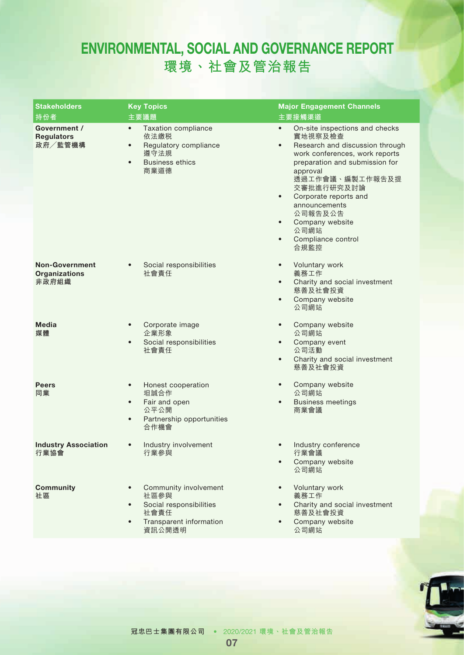| <b>Stakeholders</b><br>持份者                             | <b>Key Topics</b><br>主要議題                                                                                                                    | <b>Major Engagement Channels</b><br>主要接觸渠道                                                                                                                                                                                                                                                                                                                                   |
|--------------------------------------------------------|----------------------------------------------------------------------------------------------------------------------------------------------|------------------------------------------------------------------------------------------------------------------------------------------------------------------------------------------------------------------------------------------------------------------------------------------------------------------------------------------------------------------------------|
| Government /<br><b>Regulators</b><br>政府/監管機構           | <b>Taxation compliance</b><br>$\bullet$<br>依法繳税<br>Regulatory compliance<br>$\bullet$<br>遵守法規<br><b>Business ethics</b><br>$\bullet$<br>商業道德 | On-site inspections and checks<br>$\bullet$<br>實地視察及檢查<br>Research and discussion through<br>$\bullet$<br>work conferences, work reports<br>preparation and submission for<br>approval<br>透過工作會議、編製工作報告及提<br>交審批進行研究及討論<br>Corporate reports and<br>$\bullet$<br>announcements<br>公司報告及公告<br>Company website<br>$\bullet$<br>公司網站<br>Compliance control<br>$\bullet$<br>合規監控 |
| <b>Non-Government</b><br><b>Organizations</b><br>非政府組織 | Social responsibilities<br>社會責任                                                                                                              | Voluntary work<br>$\bullet$<br>義務工作<br>Charity and social investment<br>$\bullet$<br>慈善及社會投資<br>Company website<br>$\bullet$<br>公司網站                                                                                                                                                                                                                                         |
| <b>Media</b><br>媒體                                     | Corporate image<br>$\bullet$<br>企業形象<br>Social responsibilities<br>$\bullet$<br>社會責任                                                         | Company website<br>$\bullet$<br>公司網站<br>Company event<br>$\bullet$<br>公司活動<br>Charity and social investment<br>$\bullet$<br>慈善及社會投資                                                                                                                                                                                                                                          |
| <b>Peers</b><br>同業                                     | Honest cooperation<br>$\bullet$<br>坦誠合作<br>Fair and open<br>$\bullet$<br>公平公開<br>Partnership opportunities<br>$\bullet$<br>合作機會              | Company website<br>$\bullet$<br>公司網站<br><b>Business meetings</b><br>$\bullet$<br>商業會議                                                                                                                                                                                                                                                                                        |
| <b>Industry Association</b><br>行業協會                    | Industry involvement<br>$\bullet$<br>行業參與                                                                                                    | Industry conference<br>$\bullet$<br>行業會議<br>Company website<br>公司網站                                                                                                                                                                                                                                                                                                          |
| <b>Community</b><br>社區                                 | Community involvement<br>社區參與<br>Social responsibilities<br>$\bullet$<br>社會責任<br>Transparent information<br>$\bullet$<br>資訊公開透明              | Voluntary work<br>$\bullet$<br>義務工作<br>Charity and social investment<br>$\bullet$<br>慈善及社會投資<br>Company website<br>公司網站                                                                                                                                                                                                                                                      |

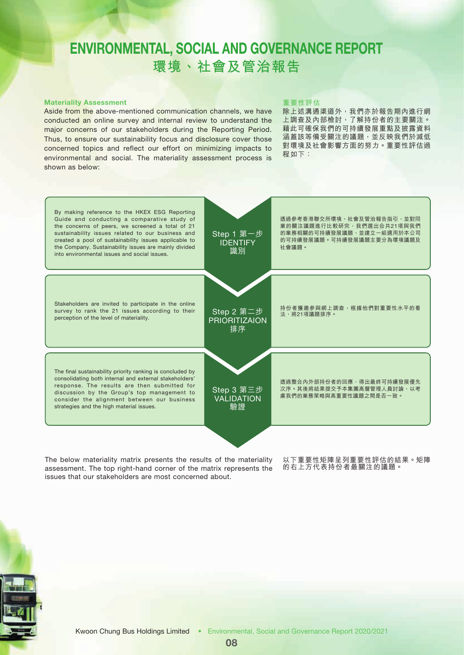#### Materiality Assessment

Aside from the above-mentioned communication channels, we have conducted an online survey and internal review to understand the major concerns of our stakeholders during the Reporting Period. Thus, to ensure our sustainability focus and disclosure cover those concerned topics and reflect our effort on minimizing impacts to environmental and social. The materiality assessment process is shown as below:

#### **重要性評估**

除上述溝通渠道外,我們亦於報告期內進行網 上調查及內部檢討,了解持份者的主要關注。 藉此可確保我們的可持續發展重點及披露資料 涵蓋該等備受關注的議題,並反映我們於減低 對環境及社會影響方面的努力。重要性評估過 程如下:



The below materiality matrix presents the results of the materiality assessment. The top right-hand corner of the matrix represents the issues that our stakeholders are most concerned about.

以下重要性矩陣呈列重要性評估的結果。矩陣 的右上方代表持份者最關注的議題。

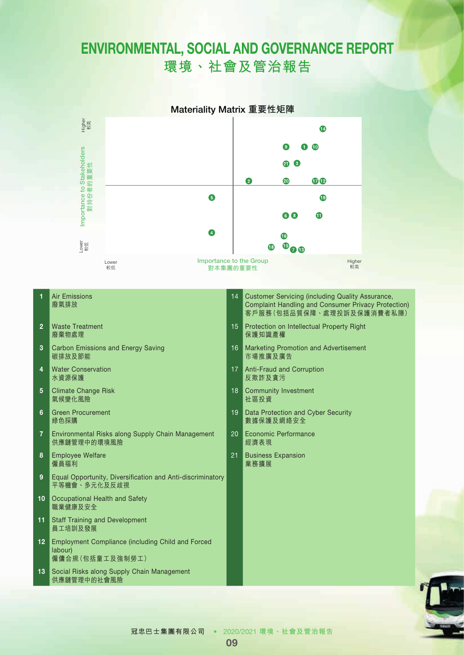

- 1 Air Emissions 廢氣排放
- 2 Waste Treatment 廢棄物處理
- **3** Carbon Emissions and Energy Saving 碳排放及節能
- 4 Water Conservation 水資源保護
- 5 Climate Change Risk 氣候變化風險
- 6 Green Procurement 綠色採購
- 7 Environmental Risks along Supply Chain Management 供應鏈管理中的環境風險
- 8 Employee Welfare 僱員福利
- 9 Equal Opportunity, Diversification and Anti-discriminatory 平等機會、多元化及反歧視
- 10 Occupational Health and Safety 職業健康及安全
- 11 Staff Training and Development 員工培訓及發展
- 12 Employment Compliance (including Child and Forced labour) 僱傭合規(包括童工及強制勞工)
- 13 Social Risks along Supply Chain Management 供應鏈管理中的社會風險
- 14 Customer Servicing (including Quality Assurance, Complaint Handling and Consumer Privacy Protection) 客戶服務(包括品質保障、處理投訴及保護消費者私隱)
- 15 Protection on Intellectual Property Right 保護知識產權
- 16 Marketing Promotion and Advertisement 市場推廣及廣告
- 17 Anti-Fraud and Corruption 反欺詐及貪污
- 18 Community Investment 社區投資
- 19 Data Protection and Cyber Security 數據保護及網絡安全
- 20 Economic Performance 經濟表現
- 21 Business Expansion 業務擴展

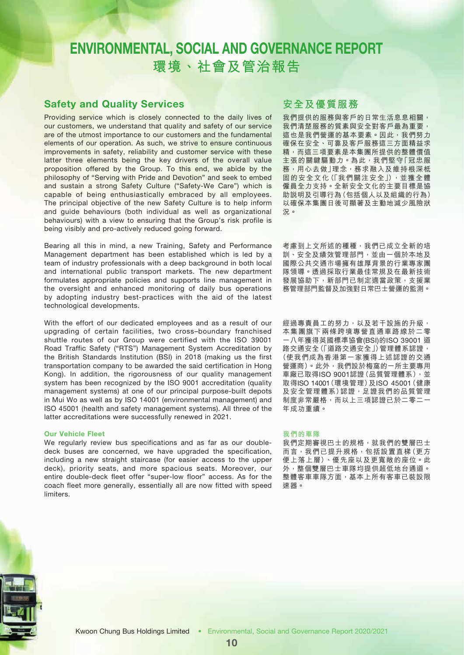### Safety and Quality Services

Providing service which is closely connected to the daily lives of our customers, we understand that quality and safety of our service are of the utmost importance to our customers and the fundamental elements of our operation. As such, we strive to ensure continuous improvements in safety, reliability and customer service with these latter three elements being the key drivers of the overall value proposition offered by the Group. To this end, we abide by the philosophy of "Serving with Pride and Devotion" and seek to embed and sustain a strong Safety Culture ("Safety-We Care") which is capable of being enthusiastically embraced by all employees. The principal objective of the new Safety Culture is to help inform and guide behaviours (both individual as well as organizational behaviours) with a view to ensuring that the Group's risk profile is being visibly and pro-actively reduced going forward.

Bearing all this in mind, a new Training, Safety and Performance Management department has been established which is led by a team of industry professionals with a deep background in both local and international public transport markets. The new department formulates appropriate policies and supports line management in the oversight and enhanced monitoring of daily bus operations by adopting industry best-practices with the aid of the latest technological developments.

With the effort of our dedicated employees and as a result of our upgrading of certain facilities, two cross–boundary franchised shuttle routes of our Group were certified with the ISO 39001 Road Traffic Safety ("RTS") Management System Accreditation by the British Standards Institution (BSI) in 2018 (making us the first transportation company to be awarded the said certification in Hong Kong). In addition, the rigorousness of our quality management system has been recognized by the ISO 9001 accreditation (quality management systems) at one of our principal purpose-built depots in Mui Wo as well as by ISO 14001 (environmental management) and ISO 45001 (health and safety management systems). All three of the latter accreditations were successfully renewed in 2021.

#### Our Vehicle Fleet

We regularly review bus specifications and as far as our doubledeck buses are concerned, we have upgraded the specification, including a new straight staircase (for easier access to the upper deck), priority seats, and more spacious seats. Moreover, our entire double-deck fleet offer "super-low floor" access. As for the coach fleet more generally, essentially all are now fitted with speed limiters.

### **安全及優質服務**

我們提供的服務與客戶的日常生活息息相關, 我們清楚服務的質素與安全對客戶最為重要, 這也是我們營運的基本要素。因此,我們努力 確保在安全、可靠及客戶服務這三方面精益求 精,而這三項要素是本集團所提供的整體價值 主張的關鍵驅動力。為此,我們堅守「冠忠服 務,用心去做」理念,務求融入及維持根深柢 固的安全文化(「我們關注安全」),並獲全體 僱員全力支持。全新安全文化的主要目標是協 助說明及引導行為(包括個人以及組織的行為) 以確保本集團日後可顯著及主動地減少風險狀 況。

考慮到上文所述的種種,我們已成立全新的培 訓、安全及績效管理部門,並由一個於本地及 國際公共交通市場擁有雄厚背景的行業專家團 隊領導。透過採取行業最佳常規及在最新技術 發展協助下,新部門已制定適當政策,支援業 務管理部門監督及加強對日常巴士營運的監測。

經過專責員工的努力,以及若干設施的升級, 本集團旗下兩條跨境專營直通車路線於二零 一八年獲得英國標準協會(BSI)的ISO 39001 道 路交通安全」)管理體系認證, (使我們成為香港第一家獲得上述認證的交通 營運商)。此外,我們設於梅窩的一所主要專用 車廠已取得ISO 9001認證(品質管理體系),並 取得ISO 14001(環境管理)及ISO 45001(健康 及安全管理體系)認證,足證我們的品質管理 制度非常嚴格,而以上三項認證已於二零二一 年成功重續。

#### **我們的車隊**

我們定期審視巴士的規格,就我們的雙層巴士 而言,我們已提升規格,包括設置直梯(更方 便上落上層)、優先座以及更寬敞的座位。此 外,整個雙層巴士車隊均提供超低地台通道。 整體客車車隊方面,基本上所有客車已裝設限 速器。

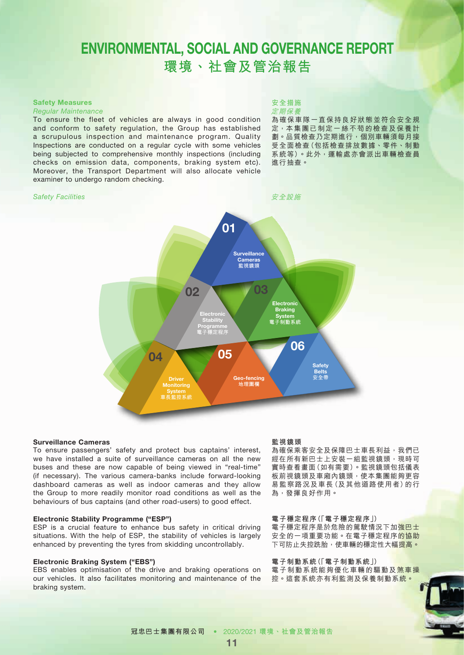#### Safety Measures

#### *Regular Maintenance*

To ensure the fleet of vehicles are always in good condition and conform to safety regulation, the Group has established a scrupulous inspection and maintenance program. Quality Inspections are conducted on a regular cycle with some vehicles being subjected to comprehensive monthly inspections (including checks on emission data, components, braking system etc). Moreover, the Transport Department will also allocate vehicle examiner to undergo random checking.

#### *Safety Facilities*

#### **安全措施** 定期保養

為確保車隊一直保持良好狀態並符合安全規 定,本集團已制定一絲不苟的檢查及保養計 劃。品質檢查乃定期進行,個別車輛須每月接 受全面檢查(包括檢查排放數據、零件、制動 系統等)。此外,運輸處亦會派出車輛檢查員 進行抽查。



#### Surveillance Cameras

To ensure passengers' safety and protect bus captains' interest, we have installed a suite of surveillance cameras on all the new buses and these are now capable of being viewed in "real-time" (if necessary). The various camera-banks include forward-looking dashboard cameras as well as indoor cameras and they allow the Group to more readily monitor road conditions as well as the behaviours of bus captains (and other road-users) to good effect.

#### Electronic Stability Programme ("ESP")

ESP is a crucial feature to enhance bus safety in critical driving situations. With the help of ESP, the stability of vehicles is largely enhanced by preventing the tyres from skidding uncontrollably.

#### Electronic Braking System ("EBS")

EBS enables optimisation of the drive and braking operations on our vehicles. It also facilitates monitoring and maintenance of the braking system.

#### **監視鏡頭**

為確保乘客安全及保障巴士車長利益,我們已 經在所有新巴士上安裝一組監視鏡頭,現時可 實時查看畫面(如有需要)。監視鏡頭包括儀表 板前視鏡頭及車廂內鏡頭,使本集團能夠更容 易監察路況及車長(及其他道路使用者)的行 為,發揮良好作用。

#### **電子穩定程序(「電子穩定程序」)** 電子穩定程序是於危險的駕駛情況下加強巴士 安全的一項重要功能。在電子穩定程序<mark>的協助</mark> 下可防止失控跣胎,使車輛的穩定性大幅提高。

**電子制動系統(「電子制動系統」)** 電子制動系統能夠優化車輛的驅動及煞車操 控。這套系統亦有利監測及保養制動系統。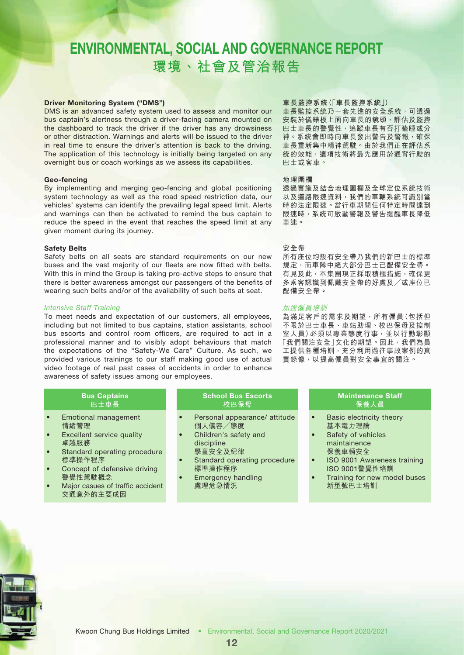#### Driver Monitoring System ("DMS")

DMS is an advanced safety system used to assess and monitor our bus captain's alertness through a driver-facing camera mounted on the dashboard to track the driver if the driver has any drowsiness or other distraction. Warnings and alerts will be issued to the driver in real time to ensure the driver's attention is back to the driving. The application of this technology is initially being targeted on any overnight bus or coach workings as we assess its capabilities.

#### Geo-fencing

By implementing and merging geo-fencing and global positioning system technology as well as the road speed restriction data, our vehicles' systems can identify the prevailing legal speed limit. Alerts and warnings can then be activated to remind the bus captain to reduce the speed in the event that reaches the speed limit at any given moment during its journey.

#### Safety Belts

Safety belts on all seats are standard requirements on our new buses and the vast majority of our fleets are now fitted with belts. With this in mind the Group is taking pro-active steps to ensure that there is better awareness amongst our passengers of the benefits of wearing such belts and/or of the availability of such belts at seat.

#### *Intensive Staff Training*

To meet needs and expectation of our customers, all employees, including but not limited to bus captains, station assistants, school bus escorts and control room officers, are required to act in a professional manner and to visibly adopt behaviours that match the expectations of the "Safety-We Care" Culture. As such, we provided various trainings to our staff making good use of actual video footage of real past cases of accidents in order to enhance awareness of safety issues among our employees.

#### Bus Captains **巴士車長**

- Emotional management 情緒管理
- **Excellent service quality** 卓越服務
- Standard operating procedure 標準操作程序
- Concept of defensive driving 警覺性駕駛概念
- Major casues of traffic accident 交通意外的主要成因

### School Bus Escorts **校巴保母**

- Personal appearance/ attitude 個人儀容╱態度
- Children's safety and discipline
- 學童安全及紀律 Standard operating procedure
- 標準操作程序 • Emergency handling
- 處理危急情況

#### **車長監控系統(「車長監控系統」)**

車長監控系統乃一套先進的安全系統,可透過 安裝於儀錶板上面向車長的鏡頭,評估及監控 巴士車長的警覺性,追蹤車長有否打瞌睡或分 神。系統會即時向車長發出警告及警報,確保 車長重新集中精神駕駛。由於我們正在評估系 統的效能,這項技術將最先應用於通宵行駛的 巴士或客車。

#### **地理圍欄**

透過實施及結合地理圍欄及全球定位系統技術 以及道路限速資料,我們的車輛系統可識別當 時的法定限速。當行車期間任何特定時間達到 限速時,系統可啟動警報及警告提醒車長降低 車速。

#### **安全帶**

所有座位均設有安全帶乃我們的新巴士的標準 規定,而車隊中絕大部分巴士已配備安全帶。 有見及此,本集團現正採取積極措施,確保更 多乘客認識到佩戴安全帶的好處及/或座位已 配備安全帶。

#### 加強僱員培訓

為滿足客戶的需求及期望,所有僱員(包括但 不限於巴士車長、車站助理、校巴保母及控制 室人員)必須以專業態度行事,並以行動彰顯 「我們關注安全」文化的期望。因此,我們為員 工提供各種培訓,充分利用過往事故案例的真 實錄像,以提高僱員對安全事宜的關注。

### Maintenance Staff **保養人員**

- Basic electricity theory 基本電力理論
- Safety of vehicles maintainence 保養車輛安全
- ISO 9001 Awareness training ISO 9001警覺性培訓
- Training for new model buses 新型號巴士培訓

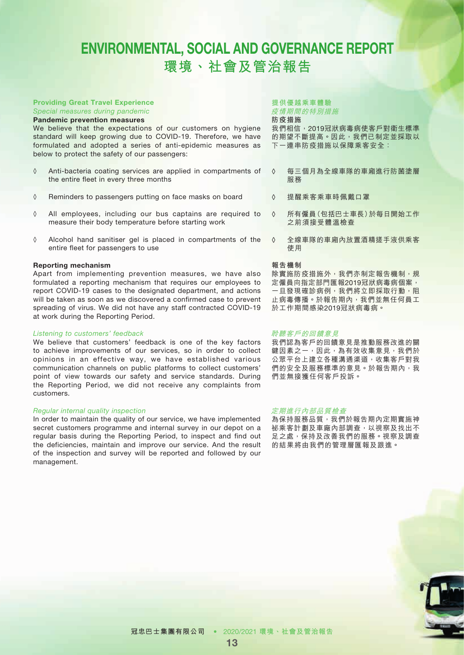### Providing Great Travel Experience

*Special measures during pandemic*

#### Pandemic prevention measures

We believe that the expectations of our customers on hygiene standard will keep growing due to COVID-19. Therefore, we have formulated and adopted a series of anti-epidemic measures as below to protect the safety of our passengers:

- ◊ Anti-bacteria coating services are applied in compartments of the entire fleet in every three months
- ◊ Reminders to passengers putting on face masks on board
- ◊ All employees, including our bus captains are required to measure their body temperature before starting work
- ◊ Alcohol hand sanitiser gel is placed in compartments of the entire fleet for passengers to use

#### Reporting mechanism

Apart from implementing prevention measures, we have also formulated a reporting mechanism that requires our employees to report COVID-19 cases to the designated department, and actions will be taken as soon as we discovered a confirmed case to prevent spreading of virus. We did not have any staff contracted COVID-19 at work during the Reporting Period.

#### *Listening to customers' feedback*

We believe that customers' feedback is one of the key factors to achieve improvements of our services, so in order to collect opinions in an effective way, we have established various communication channels on public platforms to collect customers' point of view towards our safety and service standards. During the Reporting Period, we did not receive any complaints from customers.

#### *Regular internal quality inspection*

In order to maintain the quality of our service, we have implemented secret customers programme and internal survey in our depot on a regular basis during the Reporting Period, to inspect and find out the deficiencies, maintain and improve our service. And the result of the inspection and survey will be reported and followed by our management.

#### **提供優越乘車體驗**

疫情期間的特別措施

**防疫措施** 我們相信,2019冠狀病毒病使客戶對衛生標準

的期望不斷提高。因此,我們已制定並採取以 下一連串防疫措施以保障乘客安全:

- ◊ 每三個月為全線車隊的車廂進行防菌塗層 服務
- ◊ 提醒乘客乘車時佩戴口罩
- ◊ 所有僱員(包括巴士車長)於每日開始工作 之前須接受體溫檢查
- ◊ 全線車隊的車廂內放置酒精搓手液供乘客 使用

#### **報告機制**

除實施防疫措施外,我們亦制定報告機制,規 定僱員向指定部門匯報2019冠狀病毒病個案, 一旦發現確診病例,我們將立即採取行動,阻 止病毒傳播。於報告期內,我們並無任何員工 於工作期間感染2019冠狀病毒病。

#### 聆聽客戶的回饋意見

我們認為客戶的回饋意見是推動服務改進的關 鍵因素之一,因此,為有效收集意見,我們於 公眾平台上建立各種溝通渠道,收集客戶對我 們的安全及服務標準的意見。於報告期內,我 們並無接獲任何客戶投訴。

#### 定期進行內部品質檢查

為保持服務品質,我們於報告期內定期實施神 祕乘客計劃及車廠內部調查,以視察及找出不 足之處,保持及改善我們的服務。視察及調查 的結果將由我們的管理層匯報及跟進。



**冠忠巴士集團有限公司** • 2020/2021 **環境、社會及管治報告**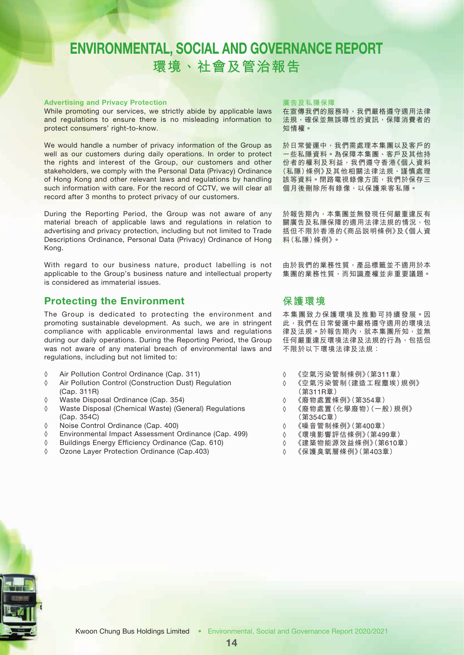#### Advertising and Privacy Protection

While promoting our services, we strictly abide by applicable laws and regulations to ensure there is no misleading information to protect consumers' right-to-know.

We would handle a number of privacy information of the Group as well as our customers during daily operations. In order to protect the rights and interest of the Group, our customers and other stakeholders, we comply with the Personal Data (Privacy) Ordinance of Hong Kong and other relevant laws and regulations by handling such information with care. For the record of CCTV, we will clear all record after 3 months to protect privacy of our customers.

During the Reporting Period, the Group was not aware of any material breach of applicable laws and regulations in relation to advertising and privacy protection, including but not limited to Trade Descriptions Ordinance, Personal Data (Privacy) Ordinance of Hong Kong.

With regard to our business nature, product labelling is not applicable to the Group's business nature and intellectual property is considered as immaterial issues.

### Protecting the Environment

The Group is dedicated to protecting the environment and promoting sustainable development. As such, we are in stringent compliance with applicable environmental laws and regulations during our daily operations. During the Reporting Period, the Group was not aware of any material breach of environmental laws and regulations, including but not limited to:

- ◊ Air Pollution Control Ordinance (Cap. 311)
- ◊ Air Pollution Control (Construction Dust) Regulation (Cap. 311R)
- ◊ Waste Disposal Ordinance (Cap. 354)
- ◊ Waste Disposal (Chemical Waste) (General) Regulations (Cap. 354C)
- ◊ Noise Control Ordinance (Cap. 400)
- ◊ Environmental Impact Assessment Ordinance (Cap. 499)
- ◊ Buildings Energy Efficiency Ordinance (Cap. 610)
- ◊ Ozone Layer Protection Ordinance (Cap.403)

#### **廣告及私隱保障**

在宣傳我們的服務時,我們嚴格遵守適用法律 法規,確保並無誤導性的資訊,保障消費者的 知情權。

於日常營運中,我們需處理本集團以及客戶的 一些私隱資料。為保障本集團、客戶及其他持 份者的權利及利益,我們遵守香港《個人資料 (私隱)條例》及其他相關法律法規,謹慎處理 該等資料。閉路電視錄像方面,我們於保存三 個月後刪除所有錄像,以保護乘客私隱。

於報告期內,本集團並無發現任何嚴重違反有 關廣告及私隱保障的適用法律法規的情況,包 括但不限於香港的《商品說明條例》及《個人資 料(私隱)條例》。

由於我們的業務性質,產品標籤並不適用於本 集團的業務性質,而知識產權並非重要議題。

### **保護環境**

本集團致力保護環境及推動可持續發展。因 此,我們在日常營運中嚴格遵守適用的環境法 律及法規。於報告期內,就本集團所知,並無 任何嚴重違反環境法律及法規的行為,包括但 不限於以下環境法律及法規:

- ◊ 《空氣污染管制條例》(第311章)
- ◊ 《空氣污染管制(建造工程塵埃)規例》 (第311R章)
- ◊ 《廢物處置條例》(第354章)
- ◊ 《廢物處置(化學廢物)(一般)規例》 (第354C章)
- ◊ 《噪音管制條例》(第400章)
- ◊ 《環境影響評估條例》(第499章)
- ◊ 《建築物能源效益條例》(第610章)
- ◊ 《保護臭氧層條例》(第403章)

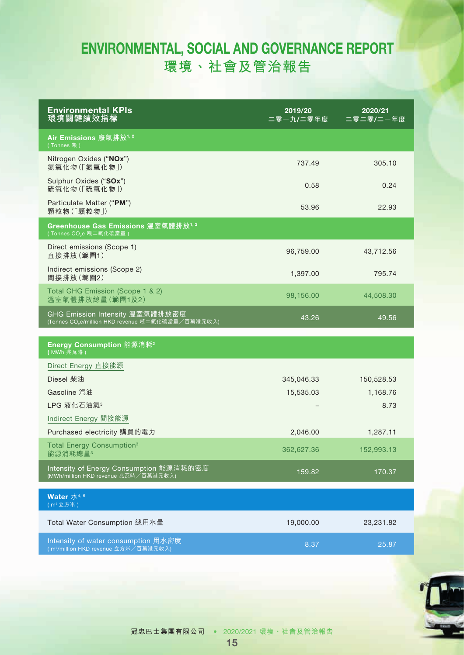| <b>Environmental KPIs</b><br>環境關鍵績效指標                                                            | 2019/20<br>二零ー九/二零年度 | 2020/21<br>二零二零/二一年度 |
|--------------------------------------------------------------------------------------------------|----------------------|----------------------|
| Air Emissions 廢氣排放1,2<br>(Tonnes 噸)                                                              |                      |                      |
| Nitrogen Oxides ("NOx")<br>氮氧化物(「氮氧化物」)                                                          | 737.49               | 305.10               |
| Sulphur Oxides ("SOx")<br>硫氧化物(「硫氧化物」)                                                           | 0.58                 | 0.24                 |
| Particulate Matter ("PM")<br>顆粒物(「顆粒物」)                                                          | 53.96                | 22.93                |
| Greenhouse Gas Emissions 溫室氣體排放 <sup>1, 2</sup><br>(Tonnes CO <sub>2</sub> e 噸二氧化碳當量)            |                      |                      |
| Direct emissions (Scope 1)<br>直接排放(範圍1)                                                          | 96,759.00            | 43,712.56            |
| Indirect emissions (Scope 2)<br>間接排放(範圍2)                                                        | 1,397.00             | 795.74               |
| Total GHG Emission (Scope 1 & 2)<br>溫室氣體排放總量(範圍1及2)                                              | 98,156.00            | 44,508.30            |
| GHG Emission Intensity 溫室氣體排放密度<br>(Tonnes CO <sub>2</sub> e/million HKD revenue 噸二氧化碳當量/百萬港元收入) | 43.26                | 49.56                |
| Energy Consumption 能源消耗 <sup>2</sup>                                                             |                      |                      |
| (MWh 兆瓦時)<br>Direct Energy 直接能源                                                                  |                      |                      |
| Diesel 柴油                                                                                        | 345,046.33           | 150,528.53           |
| Gasoline 汽油                                                                                      | 15,535.03            | 1,168.76             |
| LPG 液化石油氣 <sup>5</sup>                                                                           |                      | 8.73                 |
| Indirect Energy 間接能源                                                                             |                      |                      |
| Purchased electricity 購買的電力                                                                      | 2,046.00             | 1,287.11             |
| Total Energy Consumption <sup>3</sup><br>能源消耗總量3                                                 | 362,627.36           | 152,993.13           |
| Intensity of Energy Consumption 能源消耗的密度<br>(MWh/million HKD revenue 兆瓦時/百萬港元收入)                  | 159.82               | 170.37               |
| Water 水4.6<br>(m3 立方米)                                                                           |                      |                      |
| Total Water Consumption 總用水量                                                                     | 19,000.00            | 23,231.82            |
| Intensity of water consumption 用水密度<br>(m <sup>3</sup> /million HKD revenue 立方米/百萬港元收入)          | 8.37                 | 25.87                |

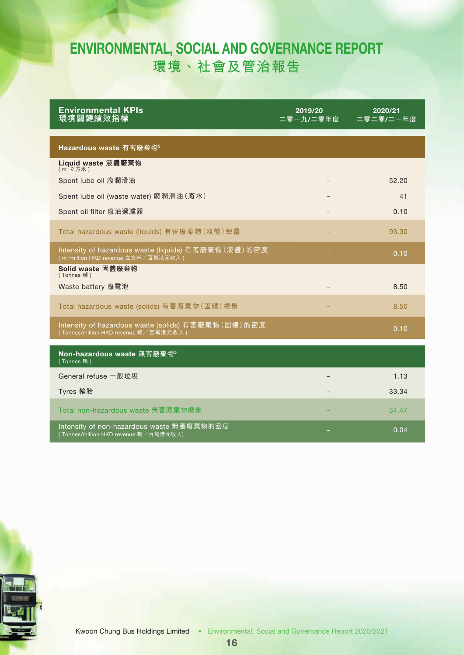| <b>Environmental KPIs</b><br>環境關鍵績效指標                                                                     | 2019/20<br>二零一九/二零年度 | 2020/21<br>二零二零/二一年度 |  |
|-----------------------------------------------------------------------------------------------------------|----------------------|----------------------|--|
|                                                                                                           |                      |                      |  |
| Hazardous waste 有害廢棄物 <sup>5</sup>                                                                        |                      |                      |  |
| Liquid waste 液體廢棄物                                                                                        |                      |                      |  |
| Spent lube oil 廢潤滑油                                                                                       |                      | 52.20                |  |
| Spent lube oil (waste water) 廢潤滑油 (廢水)                                                                    |                      | 41                   |  |
| Spent oil filter 廢油過濾器                                                                                    |                      | 0.10                 |  |
| Total hazardous waste (liquids) 有害廢棄物 (液體) 總量                                                             |                      | 93.30                |  |
| Intensity of hazardous waste (liquids) 有害廢棄物 (液體) 的密度<br>(m <sup>3</sup> /million HKD revenue 立方米/百萬港元收入) |                      | 0.10                 |  |
| Solid waste 固體廢棄物<br>(Tonnes 噸)                                                                           |                      |                      |  |
| Waste battery 廢電池                                                                                         |                      | 8.50                 |  |
| Total hazardous waste (solids) 有害廢棄物 (固體) 總量                                                              |                      | 8.50                 |  |
| Intensity of hazardous waste (solids) 有害廢棄物 (固體) 的密度<br>(Tonnes/million HKD revenue 噸/百萬港元收入 )            |                      | 0.10                 |  |
| Non-hazardous waste 無害廢棄物 <sup>5</sup><br>(Tonnes 噸)                                                      |                      |                      |  |
| General refuse 一般垃圾                                                                                       |                      | 1.13                 |  |
| Tyres 輪胎                                                                                                  |                      | 33.34                |  |
| Total non-hazardous waste 無害廢棄物總量                                                                         |                      | 34.47                |  |
| Intensity of non-hazardous waste 無害廢棄物的密度<br>(Tonnes/million HKD revenue 噸/百萬港元收入)                        |                      | 0.04                 |  |

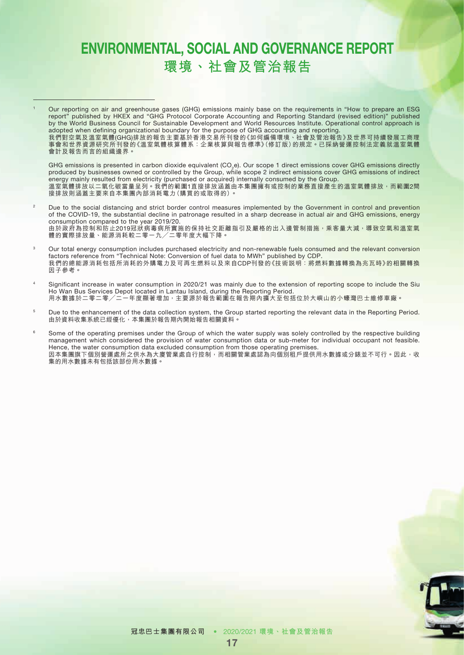<sup>1</sup> Our reporting on air and greenhouse gases (GHG) emissions mainly base on the requirements in "How to prepare an ESG report" published by HKEX and "GHG Protocol Corporate Accounting and Reporting Standard (revised edition)" published by the World Business Council for Sustainable Development and World Resources Institute. Operational control approach is adopted when defining organizational boundary for the purpose of GHG accounting and reporting. 我們對空氣及溫室氣體(GHG)排放的報告主要基於香港交易所刊發的《如何編備環境、社會及管治報告》及世界可持續發展工商理 事會和世界資源研究所刊發的《溫室氣體核算體系:企業核算與報告標準》(修訂版)的規定。已採納營運控制法定義就溫室氣體

會計及報告而言的組織邊界。

GHG emissions is presented in carbon dioxide equivalent  $(CO<sub>2</sub>e)$ . Our scope 1 direct emissions cover GHG emissions directly produced by businesses owned or controlled by the Group, while scope 2 indirect emissions cover GHG emissions of indirect energy mainly resulted from electricity (purchased or acquired) internally consumed by the Group. 溫室氣體排放以二氧化碳當量呈列。我們的範圍1直接排放涵蓋由本集團擁有或控制的業務直接產生的溫室氣體排放,而範圍2間 接排放則涵蓋主要來自本集團內部消耗電力(購買的或取得的)。

<sup>2</sup> Due to the social distancing and strict border control measures implemented by the Government in control and prevention of the COVID-19, the substantial decline in patronage resulted in a sharp decrease in actual air and GHG emissions, energy consumption compared to the year 2019/20. 由於政府為控制和防止2019冠狀病毒病所實施的保持社交距離指引及嚴格的出入邊管制措施,乘客量大減,導致空氣和溫室氣 體的實際排放量、能源消耗較二零一九╱二零年度大幅下降。

- <sup>3</sup> Our total energy consumption includes purchased electricity and non-renewable fuels consumed and the relevant conversion factors reference from "Technical Note: Conversion of fuel data to MWh" published by CDP. 我們的總能源消耗包括所消耗的外購電力及可再生燃料以及來自CDP刊發的《技術說明:將燃料數據轉換為兆瓦時》的相關轉換 因子參考。
- Significant increase in water consumption in 2020/21 was mainly due to the extension of reporting scope to include the Siu Ho Wan Bus Services Depot located in Lantau Island, during the Reporting Period. 用水數據於二零二零╱二一年度顯著增加,主要源於報告範圍在報告期內擴大至包括位於大嶼山的小蠔灣巴士維修車廠。
- <sup>5</sup> Due to the enhancement of the data collection system, the Group started reporting the relevant data in the Reporting Period. 由於資料收集系統已經優化,本集團於報告期內開始報告相關資料。
- <sup>6</sup> Some of the operating premises under the Group of which the water supply was solely controlled by the respective building management which considered the provision of water consumption data or sub-meter for individual occupant not feasible. Hence, the water consumption data excluded consumption from those operating premises. 因本集團旗下個別營運處所之供水為大廈管業處自行控制,而相關管業處認為向個別租戶提供用水數據或分錶並不可行。因此,收 集的用水數據未有包括該部份用水數據。

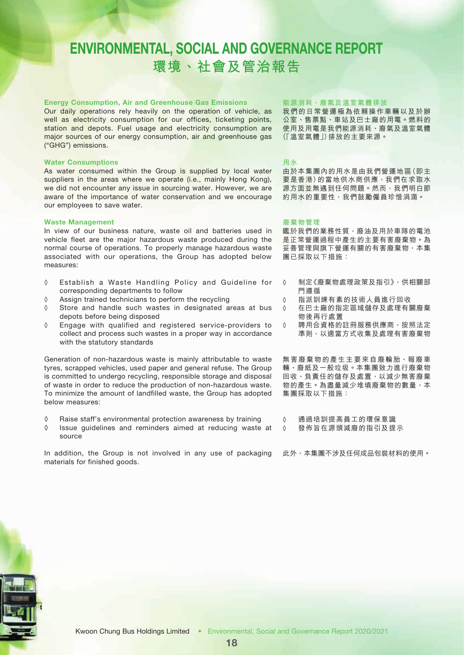#### Energy Consumption, Air and Greenhouse Gas Emissions

Our daily operations rely heavily on the operation of vehicle, as well as electricity consumption for our offices, ticketing points, station and depots. Fuel usage and electricity consumption are major sources of our energy consumption, air and greenhouse gas ("GHG") emissions.

#### Water Consumptions

As water consumed within the Group is supplied by local water suppliers in the areas where we operate (i.e., mainly Hong Kong), we did not encounter any issue in sourcing water. However, we are aware of the importance of water conservation and we encourage our employees to save water.

#### Waste Management

In view of our business nature, waste oil and batteries used in vehicle fleet are the major hazardous waste produced during the normal course of operations. To properly manage hazardous waste associated with our operations, the Group has adopted below measures:

- ◊ Establish a Waste Handling Policy and Guideline for corresponding departments to follow
- ◊ Assign trained technicians to perform the recycling
- ◊ Store and handle such wastes in designated areas at bus depots before being disposed
- ◊ Engage with qualified and registered service-providers to collect and process such wastes in a proper way in accordance with the statutory standards

Generation of non-hazardous waste is mainly attributable to waste tyres, scrapped vehicles, used paper and general refuse. The Group is committed to undergo recycling, responsible storage and disposal of waste in order to reduce the production of non-hazardous waste. To minimize the amount of landfilled waste, the Group has adopted below measures:

- ◊ Raise staff's environmental protection awareness by training
- ◊ Issue guidelines and reminders aimed at reducing waste at source

In addition, the Group is not involved in any use of packaging materials for finished goods.

#### **能源消耗、廢氣及溫室氣體排放**

我們的日常營運極為依賴操作車輛以及於辦 公室、售票點、車站及巴士廠的用電。燃料的 使用及用電是我們能源消耗、廢氣及溫室氣體 (「溫室氣體」)排放的主要來源。

**用水**

由於本集團內的用水是由我們營運地區(即主 要是香港)的當地供水商供應,我們在求取水 源方面並無遇到任何問題。然而,我們明白節 約用水的重要性,我們鼓勵僱員珍惜涓滴。

#### **廢棄物管理**

鑑於我們的業務性質,廢油及用於車隊的電池 是正常營運過程中產生的主要有害廢棄物。為 妥善管理與旗下營運有關的有害廢棄物,本集 團已採取以下措施:

- ◊ 制定《廢棄物處理政策及指引》,供相關部 門遵循
- ◊ 指派訓練有素的技術人員進行回收
- ◊ 在巴士廠的指定區域儲存及處理有關廢棄 物後再行處置
- ◊ 聘用合資格的註冊服務供應商,按照法定 準則,以適當方式收集及處理有害廢棄物

無害廢棄物的產生主要來自廢輪胎、報廢車 輛、廢紙及一般垃圾。本集團致力進行廢棄物 回收、負責任的儲存及處置,以減少無害廢棄 物的產生。為盡量減少堆填廢棄物的數量,本 集團採取以下措施:

- ◊ 通過培訓提高員工的環保意識
- ◊ 發佈旨在源頭減廢的指引及提示

此外,本集團不涉及任何成品包裝材料的使用。

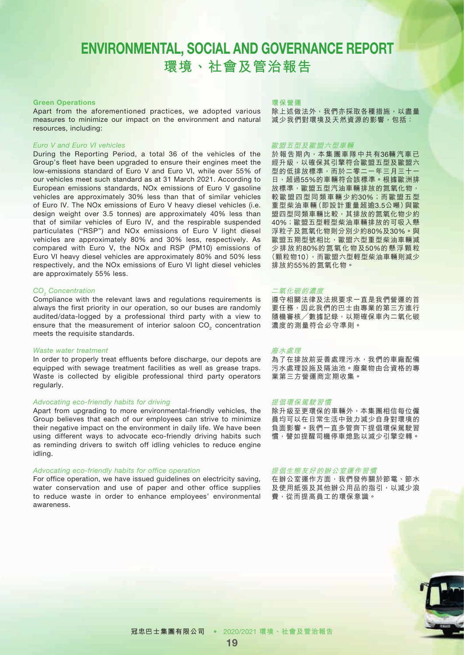#### Green Operations

Apart from the aforementioned practices, we adopted various measures to minimize our impact on the environment and natural resources, including:

#### *Euro V and Euro VI vehicles*

During the Reporting Period, a total 36 of the vehicles of the Group's fleet have been upgraded to ensure their engines meet the low-emissions standard of Euro V and Euro VI, while over 55% of our vehicles meet such standard as at 31 March 2021. According to European emissions standards, NOx emissions of Euro V gasoline vehicles are approximately 30% less than that of similar vehicles of Euro IV. The NOx emissions of Euro V heavy diesel vehicles (i.e. design weight over 3.5 tonnes) are approximately 40% less than that of similar vehicles of Euro IV, and the respirable suspended particulates ("RSP") and NOx emissions of Euro V light diesel vehicles are approximately 80% and 30% less, respectively. As compared with Euro V, the NOx and RSP (PM10) emissions of Euro VI heavy diesel vehicles are approximately 80% and 50% less respectively, and the NOx emissions of Euro VI light diesel vehicles are approximately 55% less.

#### *CO2 Concentration*

Compliance with the relevant laws and regulations requirements is always the first priority in our operation, so our buses are randomly audited/data-logged by a professional third party with a view to ensure that the measurement of interior saloon CO<sub>2</sub> concentration meets the requisite standards.

#### *Waste water treatment*

In order to properly treat effluents before discharge, our depots are equipped with sewage treatment facilities as well as grease traps. Waste is collected by eligible professional third party operators regularly.

#### *Advocating eco-friendly habits for driving*

Apart from upgrading to more environmental-friendly vehicles, the Group believes that each of our employees can strive to minimize their negative impact on the environment in daily life. We have been using different ways to advocate eco-friendly driving habits such as reminding drivers to switch off idling vehicles to reduce engine idling.

#### *Advocating eco-friendly habits for office operation*

For office operation, we have issued guidelines on electricity saving, water conservation and use of paper and other office supplies to reduce waste in order to enhance employees' environmental awareness.

#### **環保營運**

除上述做法外,我們亦採取各種措施,以盡量 減少我們對環境及天然資源的影響,包括:

#### 歐盟五型及歐盟六型車輛

於報告期內,本集團車隊中共有36輛汽車已 經升級,以確保其引擎符合歐盟五型及歐盟六 型的低排放標準,而於二零二一年三月三十一 日,超過55%的車輛符合該標準。根據歐洲排 放標準,歐盟五型汽油車輛排放的氮氧化物, 較歐盟四型同類車輛少約30%;而歐盟五型 重型柴油車輛(即設計重量超逾3.5公噸)與歐 盟四型同類車輛比較,其排放的氮氧化物少約 40%;歐盟五型輕型柴油車輛排放的可吸入懸 浮粒子及氮氧化物則分別少約80%及30%。與 歐盟五期型號相比,歐盟六型重型柴油車輛減 少排放約80%的氮氧化物及50%的懸浮顆粒 (顆粒物10),而歐盟六型輕型柴油車輛則減少 排放約55%的氮氧化物。

#### 二氧化碳的濃度

遵守相關法律及法規要求一直是我們營運的首 要任務,因此我們的巴士由專業的第三方進行 隨機審核/數據記錄,以期確保車內二氧化碳 濃度的測量符合必守準則。

#### 廢水處理

為了在排放前妥善處理污水,我們的車廠配備 污水處理設施及隔油池。廢棄物由合資格的專 業第三方營運商定期收集。

#### 提倡環保駕駛習慣

除升級至更環保的車輛外,本集團相信每位僱 員均可以在日常生活中致力減少自身對環境的 負面影響。我們一直多管齊下提倡環保駕駛習 慣,譬如提醒司機停車熄匙以減少引擎空轉。

#### 提倡生態友好的辦公室運作習慣

在辦公室運作方面,我們發佈關於節電、節水 及使用紙張及其他辦公用品的指引,以減少浪 費,從而提高員工的環保意識。

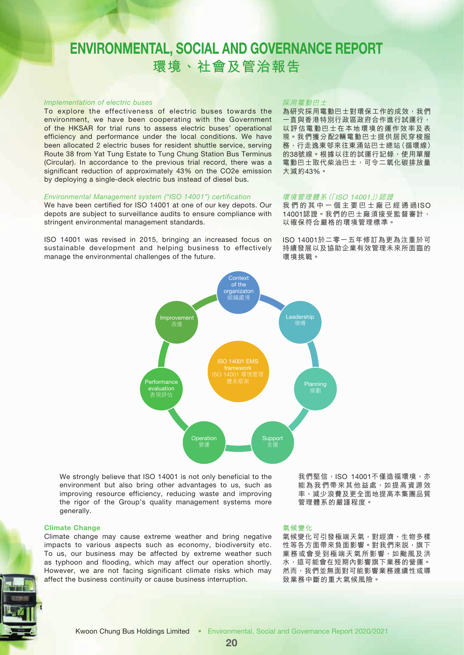#### *Implementation of electric buses*

To explore the effectiveness of electric buses towards the environment, we have been cooperating with the Government of the HKSAR for trial runs to assess electric buses' operational efficiency and performance under the local conditions. We have been allocated 2 electric buses for resident shuttle service, serving Route 38 from Yat Tung Estate to Tung Chung Station Bus Terminus (Circular). In accordance to the previous trial record, there was a significant reduction of approximately 43% on the CO2e emission by deploying a single-deck electric bus instead of diesel bus.

#### *Environmental Management system ("ISO 14001") certification*

We have been certified for ISO 14001 at one of our key depots. Our depots are subject to surveillance audits to ensure compliance with stringent environmental management standards.

ISO 14001 was revised in 2015, bringing an increased focus on sustainable development and helping business to effectively manage the environmental challenges of the future.

#### 採用電動巴士

為研究採用電動巴士對環保工作的成效,我們 一直與香港特別行政區政府合作進行試運行, 以評估電動巴士在本地環境的運作效率及表 現。我們獲分配2輛電動巴士提供居民穿梭服 務,行走逸東邨來往東涌站巴士總站(循環線) 的38號線。根據以往的試運行記錄,使用單層 電動巴士取代柴油巴士,可令二氧化碳排放量 大減約43%。

#### 環境管理體系(「ISO 14001」)認證

我們的其中一個主要巴士廠已經通過ISO 14001認證。我們的巴士廠須接受監督審計, 以確保符合嚴格的環境管理標準。

ISO 14001於二零一五年修訂為更為注重於可 持續發展以及協助企業有效管理未來所面臨的 環境挑戰。



We strongly believe that ISO 14001 is not only beneficial to the environment but also bring other advantages to us, such as improving resource efficiency, reducing waste and improving the rigor of the Group's quality management systems more generally.

#### Climate Change

Climate change may cause extreme weather and bring negative impacts to various aspects such as economy, biodiversity etc. To us, our business may be affected by extreme weather such as typhoon and flooding, which may affect our operation shortly. However, we are not facing significant climate risks which may affect the business continuity or cause business interruption.

我們堅信, ISO 14001不僅造福環境, 亦 能為我們帶來其他益處,如提高資源效 率、減少浪費及更全面地提高本集團品質 管理體系的嚴謹程度。

#### **氣候變化**

氣候變化可引發極端天氣,對經濟、生物多樣 性等各方面帶來負面影響。對我們來説,旗下 業務或會受到極端天氣所影響,如颱風及洪 水,這可能會在短期內影響旗下業務的營運。 然而,我們並無面對可能影響業務連續性或導 致業務中斷的重大氣候風險。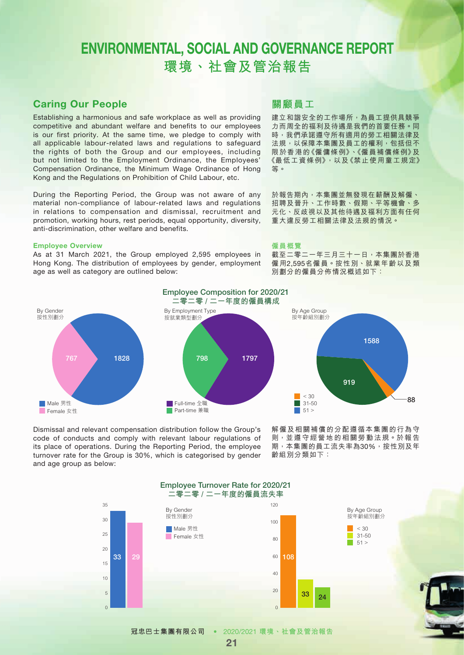### Caring Our People

Establishing a harmonious and safe workplace as well as providing competitive and abundant welfare and benefits to our employees is our first priority. At the same time, we pledge to comply with all applicable labour-related laws and regulations to safeguard the rights of both the Group and our employees, including but not limited to the Employment Ordinance, the Employees' Compensation Ordinance, the Minimum Wage Ordinance of Hong Kong and the Regulations on Prohibition of Child Labour, etc.

During the Reporting Period, the Group was not aware of any material non-compliance of labour-related laws and regulations in relations to compensation and dismissal, recruitment and promotion, working hours, rest periods, equal opportunity, diversity, anti-discrimination, other welfare and benefits.

#### Employee Overview

As at 31 March 2021, the Group employed 2,595 employees in Hong Kong. The distribution of employees by gender, employment age as well as category are outlined below:

### **關顧員工**

建立和諧安全的工作場所,為員工提供具競爭 力而周全的福利及待遇是我們的首要任務。同 時,我們承諾遵守所有適用的勞工相關法律及 法規,以保障本集團及員工的權利,包括但不 限於香港的《僱傭條例》、《僱員補償條例》及 《最低工資條例》,以及《禁止使用童工規定》 等。

於報告期內,本集團並無發現在薪酬及解僱、 招聘及晉升、工作時數、假期、平等機會、多 元化、反歧視以及其他待遇及福利方面有任何 重大違反勞工相關法律及法規的情況。

#### **僱員概覽**

截至二零二一年三月三十一日,本集團於香港 僱用2,595名僱員。按性別、就業年齡以及類 別劃分的僱員分佈情況概述如下:



By Age Group 按年齡組別劃分 1588 919  $\Box$  < 30 88 Π 31-50  $51 >$ ٦

Dismissal and relevant compensation distribution follow the Group's code of conducts and comply with relevant labour regulations of its place of operations. During the Reporting Period, the employee turnover rate for the Group is 30%, which is categorised by gender and age group as below:

解僱及相關補償的分配遵循本集團的行為守 則,並遵守經營地的相關勞動法規。於報告 期,本集團的員工流失率為30%,按性別及年 齡組別分類如下:



21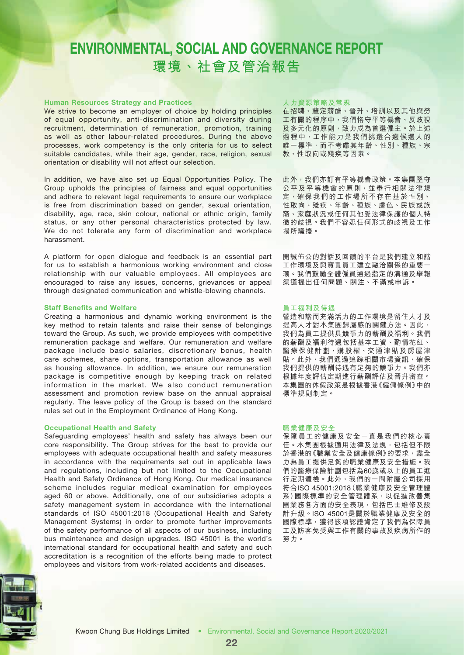#### Human Resources Strategy and Practices

We strive to become an employer of choice by holding principles of equal opportunity, anti-discrimination and diversity during recruitment, determination of remuneration, promotion, training as well as other labour-related procedures. During the above processes, work competency is the only criteria for us to select suitable candidates, while their age, gender, race, religion, sexual orientation or disability will not affect our selection.

In addition, we have also set up Equal Opportunities Policy. The Group upholds the principles of fairness and equal opportunities and adhere to relevant legal requirements to ensure our workplace is free from discrimination based on gender, sexual orientation, disability, age, race, skin colour, national or ethnic origin, family status, or any other personal characteristics protected by law. We do not tolerate any form of discrimination and workplace harassment.

A platform for open dialogue and feedback is an essential part for us to establish a harmonious working environment and close relationship with our valuable employees. All employees are encouraged to raise any issues, concerns, grievances or appeal through designated communication and whistle-blowing channels.

#### Staff Benefits and Welfare

Creating a harmonious and dynamic working environment is the key method to retain talents and raise their sense of belongings toward the Group. As such, we provide employees with competitive remuneration package and welfare. Our remuneration and welfare package include basic salaries, discretionary bonus, health care schemes, share options, transportation allowance as well as housing allowance. In addition, we ensure our remuneration package is competitive enough by keeping track on related information in the market. We also conduct remuneration assessment and promotion review base on the annual appraisal regularly. The leave policy of the Group is based on the standard rules set out in the Employment Ordinance of Hong Kong.

#### Occupational Health and Safety

Safeguarding employees' health and safety has always been our core responsibility. The Group strives for the best to provide our employees with adequate occupational health and safety measures in accordance with the requirements set out in applicable laws and regulations, including but not limited to the Occupational Health and Safety Ordinance of Hong Kong. Our medical insurance scheme includes regular medical examination for employees aged 60 or above. Additionally, one of our subsidiaries adopts a safety management system in accordance with the international standards of ISO 45001:2018 (Occupational Health and Safety Management Systems) in order to promote further improvements of the safety performance of all aspects of our business, including bus maintenance and design upgrades. ISO 45001 is the world's international standard for occupational health and safety and such accreditation is a recognition of the efforts being made to protect employees and visitors from work-related accidents and diseases.

#### **人力資源策略及常規**

在招聘、釐定薪酬、晉升、培訓以及其他與勞 工有關的程序中,我們恪守平等機會、反歧視 及多元化的原則,致力成為首選僱主。於上述 過程中,工作能力是我們挑選合適候選人的 唯一標準,而不考慮其年齡、性別、種族、宗 教、性取向或殘疾等因素。

此外,我們亦訂有平等機會政策。本集團堅守 公平及平等機會的原則,並奉行相關法律規 定,確保我們的工作場所不存在基於性別、 性取向、殘疾、年齡、種族、膚色、民族或族 裔、家庭狀況或任何其他受法律保護的個人特 徵的歧視。我們不容忍任何形式的歧視及工作 場所騷擾。

開誠佈公的對話及回饋的平台是我們建立和諧 工作環境及與寶貴員工建立融洽關係的重要一 環。我們鼓勵全體僱員通過指定的溝通及舉報 渠道提出任何問題、關注、不滿或申訴。

#### **員工福利及待遇**

營造和諧而充滿活力的工作環境是留住人才及 提高人才對本集團歸屬感的關鍵方法。因此, 我們為員工提供具競爭力的薪酬及福利。我們 的薪酬及福利待遇包括基本工資、酌情花紅、 醫療保健計劃、購股權、交通津貼及房屋津 貼。此外,我們通過追踪相關市場資訊,確保 我們提供的薪酬待遇有足夠的競爭力。我們亦 根據年度評估定期進行薪酬評估及晉升審查。 本集團的休假政策是根據香港《僱傭條例》中的 標準規則制定。

#### **職業健康及安全**

保障員工的健康及安全一直是我們的核心責 任。本集團根據適用法律及法規,包括但不限 於香港的《職業安全及健康條例》的要求,盡全 力為員工提供足夠的職業健康及安全措施。我 們的醫療保險計劃包括為60歲或以上的員工進 行定期體檢。此外,我們的一間附屬公司採用 符合ISO 45001:2018(職業健康及安全管理體 系)國際標準的安全管理體系,以促進改善集 團業務各方面的安全表現,包括巴士維修及設 計升級。ISO 45001是關於職業健康及安全的 國際標準,獲得該項認證肯定了我們為保障員 工及訪客免受與工作有關的事故及疾病所作的 努力。

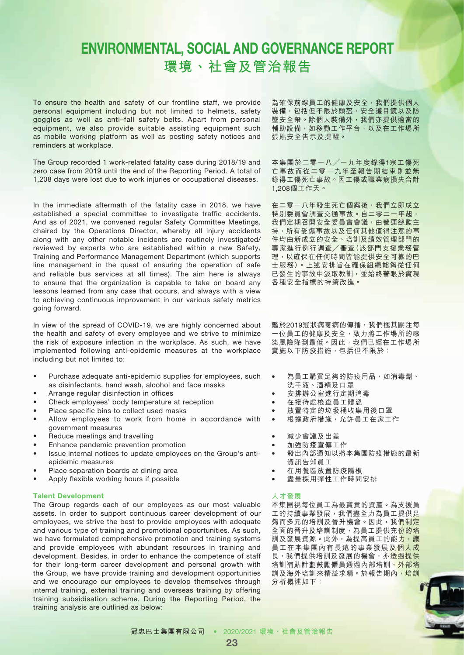To ensure the health and safety of our frontline staff, we provide personal equipment including but not limited to helmets, safety goggles as well as anti–fall safety belts. Apart from personal equipment, we also provide suitable assisting equipment such as mobile working platform as well as posting safety notices and reminders at workplace.

The Group recorded 1 work-related fatality case during 2018/19 and zero case from 2019 until the end of the Reporting Period. A total of 1,208 days were lost due to work injuries or occupational diseases.

In the immediate aftermath of the fatality case in 2018, we have established a special committee to investigate traffic accidents. And as of 2021, we convened regular Safety Committee Meetings, chaired by the Operations Director, whereby all injury accidents along with any other notable incidents are routinely investigated/ reviewed by experts who are established within a new Safety, Training and Performance Management Department (which supports line management in the quest of ensuring the operation of safe and reliable bus services at all times). The aim here is always to ensure that the organization is capable to take on board any lessons learned from any case that occurs, and always with a view to achieving continuous improvement in our various safety metrics going forward.

In view of the spread of COVID-19, we are highly concerned about the health and safety of every employee and we strive to minimize the risk of exposure infection in the workplace. As such, we have implemented following anti-epidemic measures at the workplace including but not limited to:

- Purchase adequate anti-epidemic supplies for employees, such as disinfectants, hand wash, alcohol and face masks
- Arrange regular disinfection in offices
- Check employees' body temperature at reception
- Place specific bins to collect used masks
- Allow employees to work from home in accordance with government measures
- Reduce meetings and travelling
- Enhance pandemic prevention promotion
- Issue internal notices to update employees on the Group's antiepidemic measures
- Place separation boards at dining area
- Apply flexible working hours if possible

#### Talent Development

The Group regards each of our employees as our most valuable assets. In order to support continuous career development of our employees, we strive the best to provide employees with adequate and various type of training and promotional opportunities. As such, we have formulated comprehensive promotion and training systems and provide employees with abundant resources in training and development. Besides, in order to enhance the competence of staff for their long-term career development and personal growth with the Group, we have provide training and development opportunities and we encourage our employees to develop themselves through internal training, external training and overseas training by offering training subsidisation scheme. During the Reporting Period, the training analysis are outlined as below:

為確保前線員工的健康及安全,我們提供個人 装備,包括但不限於頭盔、安全護目鏡以及防 墜安全帶。除個人裝備外,我們亦提供適當的 輔助設備,如移動工作平台,以及在工作場所 張貼安全告示及提醒。

本集團於二零一八╱一九年度錄得1宗工傷死 亡事故而從二零一九年至報告期結束則並無 錄得工傷死亡事故。因工傷或職業病損失合計 1,208個工作天。

在二零一八年發生死亡個案後,我們立即成立 特別委員會調查交通事故。自二零二一年起, 我們定期召開安全委員會會議,由營運總監主 持,所有受傷事故以及任何其他值得注意的事 件均由新成立的安全、培訓及績效管理部門的 專家進行例行調查╱審查(該部門支援業務管 理,以確保在任何時間皆能提供安全可靠的巴 士服務)。上述安排旨在確保組織能夠從任何 已發生的事故中汲取教訓,並始終著眼於實現 各種安全指標的持續改進。

鑑於2019冠狀病毒病的傳播,我們極其關注每 一位員工的健康及安全,致力將工作場所的感 染風險降到最低。因此,我們已經在工作場所 實施以下防疫措施,包括但不限於:

- 為員工購買足夠的防疫用品,如消毒劑、
- 洗手液、酒精及口罩
- 安排辦公室進行定期消毒
- 在接待處檢查員工體溫
- 放置特定的垃圾桶收集用後口罩
- 根據政府措施,允許員工在家工作
- 減少會議及出差
- 加強防疫宣傳工作
- 發出內部通知以將本集團防疫措施的最新 資訊告知員工
- 在用餐區放置防疫隔板
- 盡量採用彈性工作時間安排

#### **人才發展**

本集團視每位員工為最寶貴的資產。為支援員 工的持續事業發展,我們盡全力為員工提供足 夠而多元的培訓及晉升機會。因此,我們制定 全面的晉升及培訓制度,為員工提供充份的培 訓及發展資源。此外,為提高員工的能力,讓 員工在本集團內有長遠的事業發展及個人成 長,我們提供培訓及發展的機會,亦透過提供 培訓補貼計劃鼓勵僱員通過內部培訓、外部培 訓及海外培訓來精益求精。於報告期內,培訓 分析概述如下:

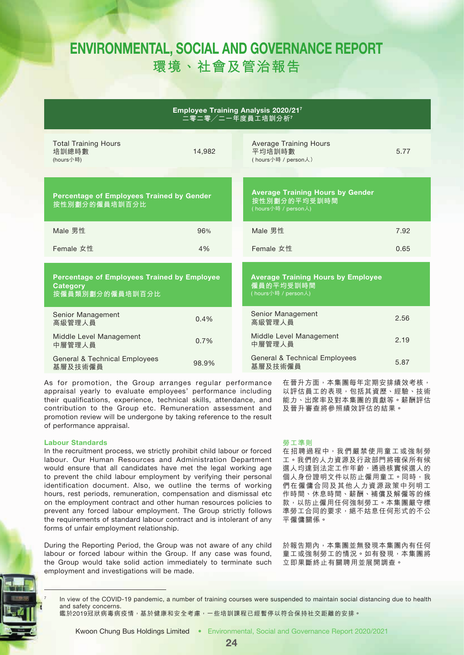| <b>Employee Training Analysis 2020/217</b> |  |
|--------------------------------------------|--|
| └二零二零╱二一年度員工培訓分析7』                         |  |

| <b>Total Training Hours</b><br>培訓總時數<br>(hours小時)                                        | 14.982 | <b>Average Training Hours</b><br>平均培訓時數<br>(hours小時 / person人)                 | 5.77 |
|------------------------------------------------------------------------------------------|--------|--------------------------------------------------------------------------------|------|
| <b>Percentage of Employees Trained by Gender</b><br>按性別劃分的僱員培訓百分比                        |        | <b>Average Training Hours by Gender</b><br>按性別劃分的平均受訓時間<br>(hours小時 / person人) |      |
| Male 男性                                                                                  | 96%    | Male 男性                                                                        | 7.92 |
| Female 女性                                                                                | 4%     | Female 女性                                                                      | 0.65 |
| <b>Percentage of Employees Trained by Employee</b><br><b>Category</b><br>按僱員類別劃分的僱員培訓百分比 |        | <b>Average Training Hours by Employee</b><br>僱員的平均受訓時間<br>(hours小時 / person人)  |      |
| Senior Management<br>高級管理人員                                                              | 0.4%   | Senior Management<br>高級管理人員                                                    | 2.56 |
| Middle Level Management<br>中層管理人員                                                        | 0.7%   | Middle Level Management<br>中層管理人員                                              | 2.19 |
| <b>General &amp; Technical Employees</b><br>基層及技術僱員                                      | 98.9%  | <b>General &amp; Technical Employees</b><br>基層及技術僱員                            | 5.87 |

As for promotion, the Group arranges regular performance appraisal yearly to evaluate employees' performance including their qualifications, experience, technical skills, attendance, and contribution to the Group etc. Remuneration assessment and promotion review will be undergone by taking reference to the result of performance appraisal.

#### Labour Standards

In the recruitment process, we strictly prohibit child labour or forced labour. Our Human Resources and Administration Department would ensure that all candidates have met the legal working age to prevent the child labour employment by verifying their personal identification document. Also, we outline the terms of working hours, rest periods, remuneration, compensation and dismissal etc on the employment contract and other human resources policies to prevent any forced labour employment. The Group strictly follows the requirements of standard labour contract and is intolerant of any forms of unfair employment relationship.

During the Reporting Period, the Group was not aware of any child labour or forced labour within the Group. If any case was found, the Group would take solid action immediately to terminate such employment and investigations will be made.

#### 在晉升方面,本集團每年定期安排績效考核, 以評估員工的表現,包括其資歷、經驗、技術 能力、出席率及對本集團的貢獻等。薪酬評估 及晉升審查將參照績效評估的結果。

### **勞工準則**

在招聘過程中,我們嚴禁使用童工或強制勞 工。我們的人力資源及行政部門將確保所有候 選人均達到法定工作年齡,通過核實候選人的 個人身份證明文件以防止僱用童工。同時,我 們在僱傭合同及其他人力資源政策中列明工 作時間、休息時間、薪酬、補償及解僱等的條 款,以防止僱用任何強制勞工。本集團嚴守標 準勞工合同的要求,絕不姑息任何形式的不公 平僱傭關係。

於報告期內,本集團並無發現本集團內有任何 童工或強制勞工的情況。如有發現,本集團將 立即果斷終止有關聘用並展開調查。

In view of the COVID-19 pandemic, a number of training courses were suspended to maintain social distancing due to health and safety concerns.

鑑於2019冠狀病毒病疫情,基於健康和安全考慮,一些培訓課程已經暫停以符合保持社交距離的安排。

Kwoon Chung Bus Holdings Limited • Environmental, Social and Governance Report 2020/2021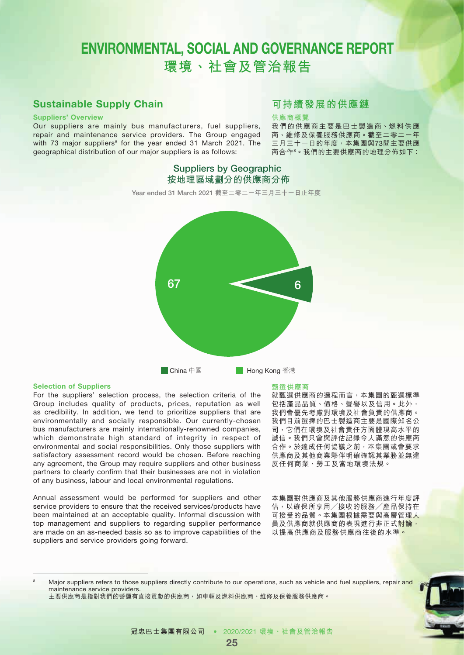### Sustainable Supply Chain

#### Suppliers' Overview

Our suppliers are mainly bus manufacturers, fuel suppliers, repair and maintenance service providers. The Group engaged with 73 major suppliers<sup>8</sup> for the year ended 31 March 2021. The geographical distribution of our major suppliers is as follows:

### **可持續發展的供應鏈**

#### **供應商概覽**

我們的供應商主要是巴士製造商、燃料供應 商、維修及保養服務供應商。截至二零二一年 三月三十一日的年度,本集團與73間主要供應 商合作8。我們的主要供應商的地理分佈如下:



Suppliers by Geographic **按地理區域劃分的供應商分佈**

#### Selection of Suppliers

For the suppliers' selection process, the selection criteria of the Group includes quality of products, prices, reputation as well as credibility. In addition, we tend to prioritize suppliers that are environmentally and socially responsible. Our currently-chosen bus manufacturers are mainly internationally-renowned companies, which demonstrate high standard of integrity in respect of environmental and social responsibilities. Only those suppliers with satisfactory assessment record would be chosen. Before reaching any agreement, the Group may require suppliers and other business partners to clearly confirm that their businesses are not in violation of any business, labour and local environmental regulations.

Annual assessment would be performed for suppliers and other service providers to ensure that the received services/products have been maintained at an acceptable quality. Informal discussion with top management and suppliers to regarding supplier performance are made on an as-needed basis so as to improve capabilities of the suppliers and service providers going forward.

#### **甄選供應商**

就甄選供應商的過程而言,本集團的甄選標準 包括產品品質、價格、聲譽以及信用。此外, 我們會優先考慮對環境及社會負責的供應商。 我們目前選擇的巴士製造商主要是國際知名公 司,它們在環境及社會責任方面體現高水平的 誠信。我們只會與評估記錄令人滿意的供應商 合作。於達成任何協議之前,本集團或會要求 供應商及其他商業夥伴明確確認其業務並無違 反任何商業、勞工及當地環境法規。

本集團對供應商及其他服務供應商進行年度評 估,以確保所享用╱接收的服務╱產品保持在 可接受的品質。本集團根據需要與高層管理人 員及供應商就供應商的表現進行非正式<mark>討論,</mark> 以提高供應商及服務供應商往後的水準。

Major suppliers refers to those suppliers directly contribute to our operations, such as vehicle and fuel suppliers, repair and maintenance service providers.

主要供應商是指對我們的營運有直接貢獻的供應商,如車輛及燃料供應商、維修及保養服務供應商。

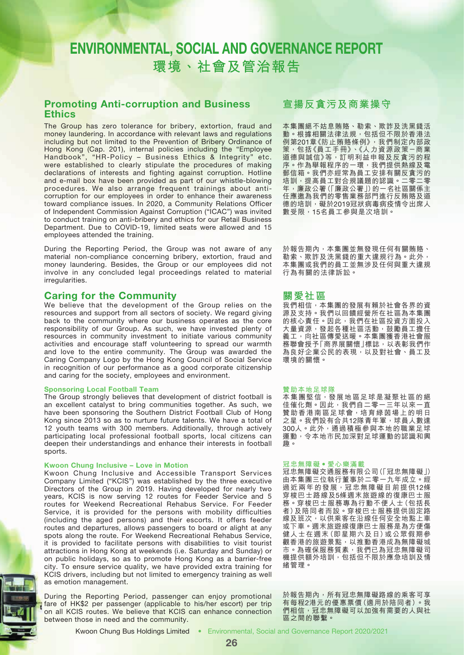### Promoting Anti-corruption and Business **Ethics**

The Group has zero tolerance for bribery, extortion, fraud and money laundering. In accordance with relevant laws and regulations including but not limited to the Prevention of Bribery Ordinance of Hong Kong (Cap. 201), internal policies including the "Employee Handbook", "HR-Policy – Business Ethics & Integrity" etc. were established to clearly stipulate the procedures of making declarations of interests and fighting against corruption. Hotline and e-mail box have been provided as part of our whistle-blowing procedures. We also arrange frequent trainings about anticorruption for our employees in order to enhance their awareness toward compliance issues. In 2020, a Community Relations Officer of Independent Commission Against Corruption ("ICAC") was invited to conduct training on anti-bribery and ethics for our Retail Business Department. Due to COVID-19, limited seats were allowed and 15 employees attended the training.

During the Reporting Period, the Group was not aware of any material non-compliance concerning bribery, extortion, fraud and money laundering. Besides, the Group or our employees did not involve in any concluded legal proceedings related to material irregularities.

### Caring for the Community

We believe that the development of the Group relies on the resources and support from all sectors of society. We regard giving back to the community where our business operates as the core responsibility of our Group. As such, we have invested plenty of resources in community investment to initiate various community activities and encourage staff volunteering to spread our warmth and love to the entire community. The Group was awarded the Caring Company Logo by the Hong Kong Council of Social Service in recognition of our performance as a good corporate citizenship and caring for the society, employees and environment.

#### Sponsoring Local Football Team

The Group strongly believes that development of district football is an excellent catalyst to bring communities together. As such, we have been sponsoring the Southern District Football Club of Hong Kong since 2013 so as to nurture future talents. We have a total of 12 youth teams with 300 members. Additionally, through actively participating local professional football sports, local citizens can deepen their understandings and enhance their interests in football sports.

#### Kwoon Chung Inclusive – Love in Motion

Kwoon Chung Inclusive and Accessible Transport Services Company Limited ("KCIS") was established by the three executive Directors of the Group in 2019. Having developed for nearly two years, KCIS is now serving 12 routes for Feeder Service and 5 routes for Weekend Recreational Rehabus Service. For Feeder Service, it is provided for the persons with mobility difficulties (including the aged persons) and their escorts. It offers feeder routes and departures, allows passengers to board or alight at any spots along the route. For Weekend Recreational Rehabus Service, it is provided to facilitate persons with disabilities to visit tourist attractions in Hong Kong at weekends (i.e. Saturday and Sunday) or on public holidays, so as to promote Hong Kong as a barrier‐free city. To ensure service quality, we have provided extra training for KCIS drivers, including but not limited to emergency training as well as emotion management.

During the Reporting Period, passenger can enjoy promotional fare of HK\$2 per passenger (applicable to his/her escort) per trip on all KCIS routes. We believe that KCIS can enhance connection between those in need and the community.

### **宣揚反貪污及商業操守**

本集團絕不姑息賄賂、勒索、欺詐及洗黑錢活 動。根據相關法律法規,包括但不限於香港法 例第201章《防止賄賂條例》,我們制定內部政 策,包括《員工手冊》、《人力資源政策-商業 道德與誠信》等,訂明利益申報及反貪污的程 序。作為舉報程序的一環,我們提供熱線及電 郵信箱。我們亦經常為員工安排有關反貪污的 培訓,提高員工對合規議題的認識。二零二零 年,廉政公署(「廉政公署」)的一名社區關係主 任應邀為我們的零售業務部門進行反賄賂及道 德的培訓,礙於2019冠狀病毒病疫情令出席人 數受限,15名員工參與是次培訓。

於報告期內,本集團並無發現任何有關賄賂、 勒索、欺詐及洗黑錢的重大違規行為。此外, 本集團或我們的員工並無涉及任何與重大違規 行為有關的法律訴訟。

### **關愛社區**

我們相信,本集團的發展有賴於社會各界的資 源及支持。我們以回饋經營所在社區為本集團 的核心責任。因此,我們在社區投資方面投入 大量資源,發起各種社區活動,鼓勵員工擔任 義工,向社區傳愛送暖。本集團獲香港社會服 務聯會授予「商界展關懷」標誌,以表彰我們作 為良好企業公民的表現,以及對社會、員工及 環境的關懷。

#### **贊助本地足球隊**

本集團堅信,發展地區足球是凝聚社區的絕 住催化劑。因此,我們自二零一三年以來一直 **普通商品工作**, The Text of State of The Text of The Text of The Text of The Text of The 之星。我們設有合共12隊青年軍,球員人數達 300人。此外,通過積極參與本地的職業足球 運動,令本地市民加深對足球運動的認識和興 趣。

#### **冠忠無障礙•愛心樂滿載**

冠忠無障礙交通服務有限公司(「冠忠無障礙」) 由本集團三位執行董事於二零一九年成立。經 過近兩年的發展,冠忠無障礙目前提供12條 穿梭巴士路線及5條週末旅遊線的復康巴士服 務。穿梭巴士服務專為行動不便人士(包括長 者)及陪同者而設。穿梭巴士服務提供固定路 線及班次,以供乘客在沿線任何安全地點上車 或下車。週末旅遊線復康巴士服務是為方便傷 健人士在週末(即星期六及日)或公眾假期參 觀香港的旅遊景點,以推動香港成為無障礙城 市。為確保服務質素,我們已為冠忠無障礙司 機提供額外培訓,包括但不限於應急培訓及情 緒管理。

於報告期內,所有冠忠無障礙路線的乘客可享 有每程2港元的優惠票價(適用於陪同者)。我 的相信,冠忠無障礙可以加強有需要的人與社 區之間的聯繫。

Kwoon Chung Bus Holdings Limited • Environmental, Social and Governance Report 2020/2021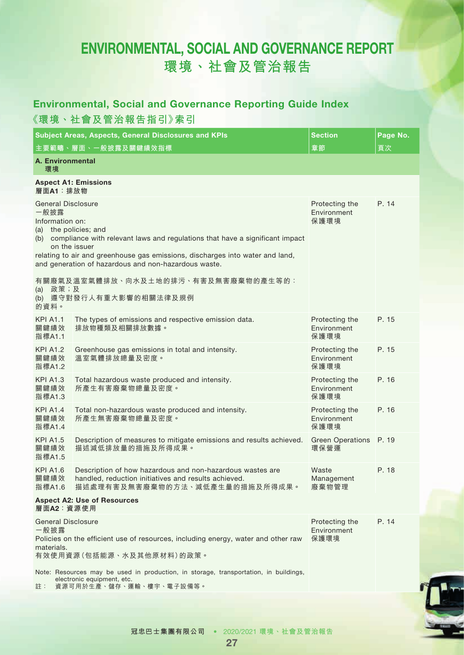### Environmental, Social and Governance Reporting Guide Index

**《環境、社會及管治報告指引》索引**

|                                                             | Subject Areas, Aspects, General Disclosures and KPIs                                                                                                                                                                                                            | <b>Section</b>                        | Page No. |
|-------------------------------------------------------------|-----------------------------------------------------------------------------------------------------------------------------------------------------------------------------------------------------------------------------------------------------------------|---------------------------------------|----------|
| <b>A. Environmental</b><br>環境                               | 主要範疇、層面、一般披露及關鍵績效指標                                                                                                                                                                                                                                             | 章節                                    | 頁次       |
| 層面A1:排放物                                                    | <b>Aspect A1: Emissions</b>                                                                                                                                                                                                                                     |                                       |          |
| <b>General Disclosure</b><br>一般披露<br>Information on:<br>(a) | the policies; and<br>(b) compliance with relevant laws and regulations that have a significant impact<br>on the issuer<br>relating to air and greenhouse gas emissions, discharges into water and land,<br>and generation of hazardous and non-hazardous waste. | Protecting the<br>Environment<br>保護環境 | P. 14    |
| 政策;及<br>(a)<br>的資料。                                         | 有關廢氣及溫室氣體排放、向水及土地的排污、有害及無害廢棄物的產生等的:<br>(b) 遵守對發行人有重大影響的相關法律及規例                                                                                                                                                                                                  |                                       |          |
| <b>KPI A1.1</b><br>關鍵績效<br>指標A1.1                           | The types of emissions and respective emission data.<br>排放物種類及相關排放數據。                                                                                                                                                                                           | Protecting the<br>Environment<br>保護環境 | P. 15    |
| <b>KPI A1.2</b><br>關鍵績效<br>指標A1.2                           | Greenhouse gas emissions in total and intensity.<br>溫室氣體排放總量及密度。                                                                                                                                                                                                | Protecting the<br>Environment<br>保護環境 | P. 15    |
| <b>KPI A1.3</b><br>關鍵績效<br>指標A1.3                           | Total hazardous waste produced and intensity.<br>所產生有害廢棄物總量及密度。                                                                                                                                                                                                 | Protecting the<br>Environment<br>保護環境 | P. 16    |
| <b>KPI A1.4</b><br>關鍵績效<br>指標A1.4                           | Total non-hazardous waste produced and intensity.<br>所產生無害廢棄物總量及密度。                                                                                                                                                                                             | Protecting the<br>Environment<br>保護環境 | P. 16    |
| <b>KPI A1.5</b><br>關鍵績效<br>指標A1.5                           | Description of measures to mitigate emissions and results achieved.<br>描述減低排放量的措施及所得成果。                                                                                                                                                                         | Green Operations P. 19<br>環保營運        |          |
| <b>KPI A1.6</b><br>關鍵績效<br>指標A1.6                           | Description of how hazardous and non-hazardous wastes are<br>handled, reduction initiatives and results achieved.<br>描述處理有害及無害廢棄物的方法、減低產生量的措施及所得成果。                                                                                                             | Waste<br>Management<br>廢棄物管理          | P. 18    |
| <b>Aspect A2: Use of Resources</b><br>層面A2:資源使用             |                                                                                                                                                                                                                                                                 |                                       |          |
| <b>General Disclosure</b><br>一般披露<br>materials.             | Policies on the efficient use of resources, including energy, water and other raw<br>有效使用資源(包括能源、水及其他原材料)的政策。                                                                                                                                                   | Protecting the<br>Environment<br>保護環境 | P. 14    |
| 註:                                                          | Note: Resources may be used in production, in storage, transportation, in buildings,<br>electronic equipment, etc.<br>資源可用於生產、儲存、運輸、樓宇、電子設備等。                                                                                                                   |                                       |          |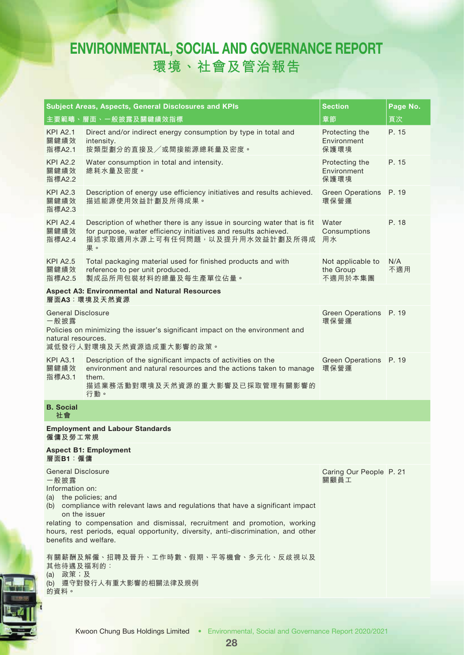|                                                                                                                                   | Subject Areas, Aspects, General Disclosures and KPIs                                                                                                                                                                                                                                                                                    | <b>Section</b>                            | Page No.   |
|-----------------------------------------------------------------------------------------------------------------------------------|-----------------------------------------------------------------------------------------------------------------------------------------------------------------------------------------------------------------------------------------------------------------------------------------------------------------------------------------|-------------------------------------------|------------|
|                                                                                                                                   | 主要範疇、層面、一般披露及關鍵績效指標                                                                                                                                                                                                                                                                                                                     | 章節                                        | 頁次         |
| <b>KPI A2.1</b><br>關鍵績效<br>指標A2.1                                                                                                 | Direct and/or indirect energy consumption by type in total and<br>intensity.<br>按類型劃分的直接及/或間接能源總耗量及密度。                                                                                                                                                                                                                                  | Protecting the<br>Environment<br>保護環境     | P. 15      |
| <b>KPI A2.2</b><br>關鍵績效<br>指標A2.2                                                                                                 | Water consumption in total and intensity.<br>總耗水量及密度。                                                                                                                                                                                                                                                                                   | Protecting the<br>Environment<br>保護環境     | P. 15      |
| <b>KPI A2.3</b><br>關鍵績效<br>指標A2.3                                                                                                 | Description of energy use efficiency initiatives and results achieved.<br>描述能源使用效益計劃及所得成果。                                                                                                                                                                                                                                              | Green Operations P. 19<br>環保營運            |            |
| <b>KPI A2.4</b><br>關鍵績效<br>指標A2.4                                                                                                 | Description of whether there is any issue in sourcing water that is fit<br>for purpose, water efficiency initiatives and results achieved.<br>描述求取適用水源上可有任何問題,以及提升用水效益計劃及所得成<br>果。                                                                                                                                                      | Water<br>Consumptions<br>用水               | P. 18      |
| <b>KPI A2.5</b><br>關鍵績效<br>指標A2.5                                                                                                 | Total packaging material used for finished products and with<br>reference to per unit produced.<br>製成品所用包裝材料的總量及每生產單位佔量。                                                                                                                                                                                                                | Not applicable to<br>the Group<br>不適用於本集團 | N/A<br>不適用 |
|                                                                                                                                   | <b>Aspect A3: Environmental and Natural Resources</b><br>層面A3:環境及天然資源                                                                                                                                                                                                                                                                   |                                           |            |
| <b>General Disclosure</b><br>一般披露<br>natural resources.                                                                           | Policies on minimizing the issuer's significant impact on the environment and<br>減低發行人對環境及天然資源造成重大影響的政策。                                                                                                                                                                                                                                | Green Operations P. 19<br>環保營運            |            |
| <b>KPI A3.1</b><br>關鍵績效<br>指標A3.1                                                                                                 | Description of the significant impacts of activities on the<br>environment and natural resources and the actions taken to manage<br>them.<br>描述業務活動對環境及天然資源的重大影響及已採取管理有關影響的<br>行動。                                                                                                                                                      | Green Operations P. 19<br>環保營運            |            |
| <b>B.</b> Social<br>社會                                                                                                            |                                                                                                                                                                                                                                                                                                                                         |                                           |            |
| 僱傭及勞工常規                                                                                                                           | <b>Employment and Labour Standards</b>                                                                                                                                                                                                                                                                                                  |                                           |            |
| 層面B1:僱傭                                                                                                                           | <b>Aspect B1: Employment</b>                                                                                                                                                                                                                                                                                                            |                                           |            |
| General Disclosure<br>一般披露<br>Information on:<br>(a) the policies; and<br>benefits and welfare.<br>其他待遇及福利的:<br>(a) 政策; 及<br>的資料。 | (b) compliance with relevant laws and regulations that have a significant impact<br>on the issuer<br>relating to compensation and dismissal, recruitment and promotion, working<br>hours, rest periods, equal opportunity, diversity, anti-discrimination, and other<br>有關薪酬及解僱、招聘及晉升、工作時數、假期、平等機會、多元化、反歧視以及<br>(b) 遵守對發行人有重大影響的相關法律及規例 | Caring Our People P. 21<br>關顧員工           |            |
|                                                                                                                                   |                                                                                                                                                                                                                                                                                                                                         |                                           |            |

Kwoon Chung Bus Holdings Limited • Environmental, Social and Governance Report 2020/2021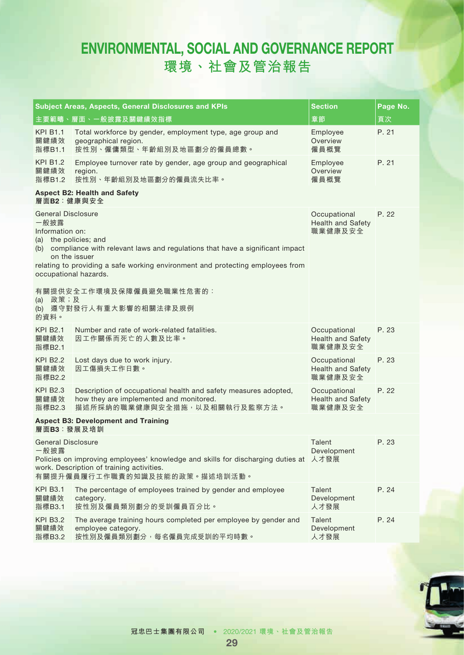|                                                                                                                                        | <b>Subject Areas, Aspects, General Disclosures and KPIs</b>                                                                                                                                    | Section                                             | Page No. |
|----------------------------------------------------------------------------------------------------------------------------------------|------------------------------------------------------------------------------------------------------------------------------------------------------------------------------------------------|-----------------------------------------------------|----------|
|                                                                                                                                        | 主要範疇、層面、一般披露及關鍵績效指標                                                                                                                                                                            | 章節                                                  | 頁次       |
| <b>KPI B1.1</b><br>關鍵績效<br>指標B1.1                                                                                                      | Total workforce by gender, employment type, age group and<br>geographical region.<br>按性別、僱傭類型、年齡組別及地區劃分的僱員總數。                                                                                  | Employee<br>Overview<br>僱員概覽                        | P. 21    |
| <b>KPI B1.2</b><br>關鍵績效<br>指標B1.2                                                                                                      | Employee turnover rate by gender, age group and geographical<br>region.<br>按性別、年齡組別及地區劃分的僱員流失比率。                                                                                               | Employee<br>Overview<br>僱員概覽                        | P. 21    |
| 層面B2:健康與安全                                                                                                                             | <b>Aspect B2: Health and Safety</b>                                                                                                                                                            |                                                     |          |
| <b>General Disclosure</b><br>一般披露<br>Information on:<br>(a) the policies; and<br>on the issuer<br>occupational hazards.<br>政策;及<br>(a) | (b) compliance with relevant laws and regulations that have a significant impact<br>relating to providing a safe working environment and protecting employees from<br>有關提供安全工作環境及保障僱員避免職業性危害的: | Occupational<br><b>Health and Safety</b><br>職業健康及安全 | P. 22    |
| 的資料。                                                                                                                                   | (b) 遵守對發行人有重大影響的相關法律及規例                                                                                                                                                                        |                                                     |          |
| <b>KPI B2.1</b><br>關鍵績效<br>指標B2.1                                                                                                      | Number and rate of work-related fatalities.<br>因工作關係而死亡的人數及比率。                                                                                                                                 | Occupational<br><b>Health and Safety</b><br>職業健康及安全 | P. 23    |
| <b>KPI B2.2</b><br>關鍵績效<br>指標B2.2                                                                                                      | Lost days due to work injury.<br>因工傷損失工作日數。                                                                                                                                                    | Occupational<br><b>Health and Safety</b><br>職業健康及安全 | P. 23    |
| <b>KPI B2.3</b><br>關鍵績效<br>指標B2.3                                                                                                      | Description of occupational health and safety measures adopted,<br>how they are implemented and monitored.<br>描述所採納的職業健康與安全措施,以及相關執行及監察方法。                                                     | Occupational<br>Health and Safety<br>職業健康及安全        | P. 22    |
| 層面B3:發展及培訓                                                                                                                             | <b>Aspect B3: Development and Training</b>                                                                                                                                                     |                                                     |          |
| General Disclosure<br>一般披露                                                                                                             | Policies on improving employees' knowledge and skills for discharging duties at 人才發展<br>work. Description of training activities.<br>有關提升僱員履行工作職責的知識及技能的政策。描述培訓活動。                             | Talent<br>Development                               | P. 23    |
| <b>KPI B3.1</b><br>關鍵績效<br>指標B3.1                                                                                                      | The percentage of employees trained by gender and employee<br>category.<br>按性別及僱員類別劃分的受訓僱員百分比。                                                                                                 | Talent<br>Development<br>人才發展                       | P. 24    |
| <b>KPI B3.2</b><br>關鍵績效<br>指標B3.2                                                                                                      | The average training hours completed per employee by gender and<br>employee category.<br>按性別及僱員類別劃分,每名僱員完成受訓的平均時數。                                                                             | Talent<br>Development<br>人才發展                       | P. 24    |

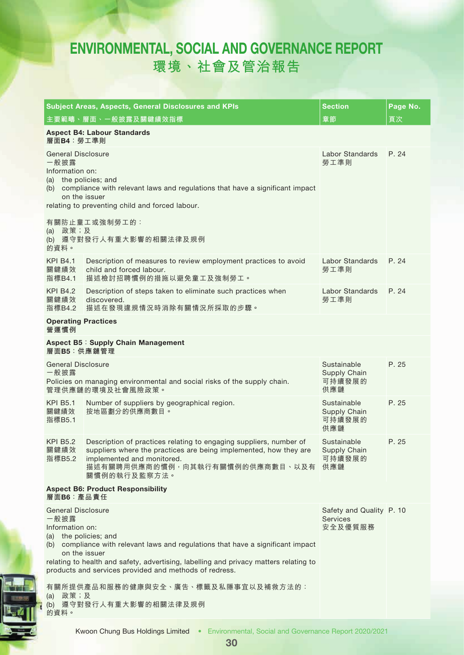|                                                                               | Subject Areas, Aspects, General Disclosures and KPIs                                                                                                                                                                                                 | <b>Section</b>                                         | Page No. |
|-------------------------------------------------------------------------------|------------------------------------------------------------------------------------------------------------------------------------------------------------------------------------------------------------------------------------------------------|--------------------------------------------------------|----------|
|                                                                               | 主要範疇、層面、一般披露及關鍵績效指標                                                                                                                                                                                                                                  | 章節                                                     | 頁次       |
| 層面B4: 勞工準則                                                                    | <b>Aspect B4: Labour Standards</b>                                                                                                                                                                                                                   |                                                        |          |
| <b>General Disclosure</b><br>一般披露<br>Information on:<br>(a) the policies; and | (b) compliance with relevant laws and regulations that have a significant impact<br>on the issuer<br>relating to preventing child and forced labour.                                                                                                 | Labor Standards<br>勞工準則                                | P. 24    |
| (a) 政策; 及<br>的資料。                                                             | 有關防止童工或強制勞工的:<br>(b) 遵守對發行人有重大影響的相關法律及規例                                                                                                                                                                                                             |                                                        |          |
| <b>KPI B4.1</b><br>關鍵績效<br>指標B4.1                                             | Description of measures to review employment practices to avoid<br>child and forced labour.<br>描述檢討招聘慣例的措施以避免童工及強制勞工。                                                                                                                                | Labor Standards<br>勞工準則                                | P. 24    |
| <b>KPI B4.2</b><br>關鍵績效<br>指標B4.2                                             | Description of steps taken to eliminate such practices when<br>discovered.<br>描述在發現違規情況時消除有關情況所採取的步驟。                                                                                                                                                | Labor Standards<br>勞工準則                                | P. 24    |
| <b>Operating Practices</b><br>營運慣例                                            |                                                                                                                                                                                                                                                      |                                                        |          |
| 層面B5:供應鏈管理                                                                    | Aspect B5: Supply Chain Management                                                                                                                                                                                                                   |                                                        |          |
| <b>General Disclosure</b><br>一般披露                                             | Policies on managing environmental and social risks of the supply chain.<br>管理供應鏈的環境及社會風險政策。                                                                                                                                                         | Sustainable<br>Supply Chain<br>可持續發展的<br>供應鏈           | P. 25    |
| <b>KPI B5.1</b><br>關鍵績效<br>指標B5.1                                             | Number of suppliers by geographical region.<br>按地區劃分的供應商數目。                                                                                                                                                                                          | Sustainable<br>Supply Chain<br>可持續發展的<br>供應鏈           | P. 25    |
| <b>KPI B5.2</b><br>關鍵績效<br>指標B5.2                                             | Description of practices relating to engaging suppliers, number of<br>suppliers where the practices are being implemented, how they are<br>implemented and monitored.<br>描述有關聘用供應商的慣例,向其執行有關慣例的供應商數目、以及有<br>關慣例的執行及監察方法。                             | Sustainable<br>Supply Chain<br>可持續發展的<br>供應鏈           | P. 25    |
| 層面B6:產品責任                                                                     | <b>Aspect B6: Product Responsibility</b>                                                                                                                                                                                                             |                                                        |          |
| <b>General Disclosure</b><br>一般披露<br>Information on:<br>(a) the policies; and | (b) compliance with relevant laws and regulations that have a significant impact<br>on the issuer<br>relating to health and safety, advertising, labelling and privacy matters relating to<br>products and services provided and methods of redress. | Safety and Quality P. 10<br><b>Services</b><br>安全及優質服務 |          |
| 政策;及<br>(a)<br>的資料。                                                           | 有關所提供產品和服務的健康與安全、廣告、標籤及私隱事宜以及補救方法的:<br>(b) 遵守對發行人有重大影響的相關法律及規例                                                                                                                                                                                       |                                                        |          |

30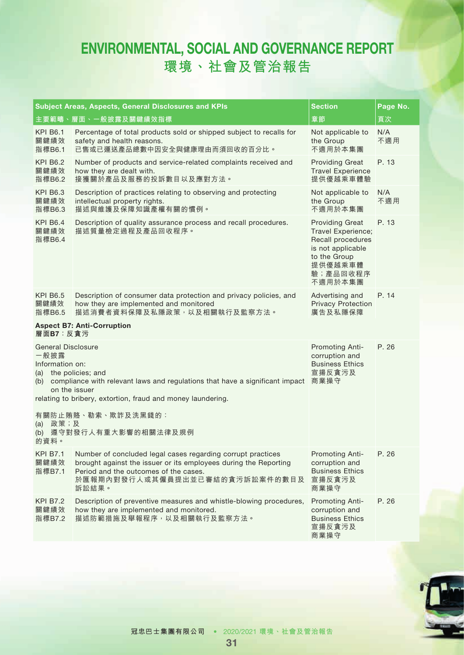|                                                                                                                                                                                                                                                        | Subject Areas, Aspects, General Disclosures and KPIs                                                                                                                                                                | <b>Section</b>                                                                                                                           | Page No.   |  |
|--------------------------------------------------------------------------------------------------------------------------------------------------------------------------------------------------------------------------------------------------------|---------------------------------------------------------------------------------------------------------------------------------------------------------------------------------------------------------------------|------------------------------------------------------------------------------------------------------------------------------------------|------------|--|
|                                                                                                                                                                                                                                                        | 主要範疇、層面、一般披露及關鍵績效指標                                                                                                                                                                                                 | 章節                                                                                                                                       | 頁次         |  |
| <b>KPI B6.1</b><br>關鍵績效<br>指標B6.1                                                                                                                                                                                                                      | Percentage of total products sold or shipped subject to recalls for<br>safety and health reasons.<br>已售或已運送產品總數中因安全與健康理由而須回收的百分比。                                                                                   | Not applicable to<br>the Group<br>不適用於本集團                                                                                                | N/A<br>不適用 |  |
| <b>KPI B6.2</b><br>關鍵績效<br>指標B6.2                                                                                                                                                                                                                      | Number of products and service-related complaints received and<br>how they are dealt with.<br>接獲關於產品及服務的投訴數目以及應對方法。                                                                                                 | <b>Providing Great</b><br><b>Travel Experience</b><br>提供優越乘車體驗                                                                           | P. 13      |  |
| <b>KPI B6.3</b><br>關鍵績效<br>指標B6.3                                                                                                                                                                                                                      | Description of practices relating to observing and protecting<br>intellectual property rights.<br>描述與維護及保障知識產權有關的慣例。                                                                                                | Not applicable to<br>the Group<br>不適用於本集團                                                                                                | N/A<br>不適用 |  |
| <b>KPI B6.4</b><br>關鍵績效<br>指標B6.4                                                                                                                                                                                                                      | Description of quality assurance process and recall procedures.<br>描述質量檢定過程及產品回收程序。                                                                                                                                 | <b>Providing Great</b><br>Travel Experience;<br>Recall procedures<br>is not applicable<br>to the Group<br>提供優越乘車體<br>驗;產品回收程序<br>不適用於本集團 | P. 13      |  |
| <b>KPI B6.5</b><br>關鍵績效<br>指標B6.5                                                                                                                                                                                                                      | Description of consumer data protection and privacy policies, and<br>how they are implemented and monitored<br>描述消費者資料保障及私隱政策,以及相關執行及監察方法。<br><b>Aspect B7: Anti-Corruption</b>                                     | Advertising and<br><b>Privacy Protection</b><br>廣告及私隱保障                                                                                  | P. 14      |  |
| 層面B7:反貪污                                                                                                                                                                                                                                               |                                                                                                                                                                                                                     |                                                                                                                                          |            |  |
| <b>General Disclosure</b><br>一般披露<br>Information on:<br>(a) the policies; and<br>(b) compliance with relevant laws and regulations that have a significant impact 商業操守<br>on the issuer<br>relating to bribery, extortion, fraud and money laundering. |                                                                                                                                                                                                                     | Promoting Anti-<br>corruption and<br><b>Business Ethics</b><br>宣揚反貪污及                                                                    | P. 26      |  |
| 有關防止賄賂、勒索、欺詐及洗黑錢的:<br>政策;及<br>(a)<br>遵守對發行人有重大影響的相關法律及規例<br>(b)<br>的資料。                                                                                                                                                                                |                                                                                                                                                                                                                     |                                                                                                                                          |            |  |
| <b>KPI B7.1</b><br>關鍵績效<br>指標B7.1                                                                                                                                                                                                                      | Number of concluded legal cases regarding corrupt practices<br>brought against the issuer or its employees during the Reporting<br>Period and the outcomes of the cases.<br>於匯報期內對發行人或其僱員提出並已審結的貪污訴訟案件的數目及<br>訴訟結果。 | Promoting Anti-<br>corruption and<br><b>Business Ethics</b><br>宣揚反貪污及<br>商業操守                                                            | P. 26      |  |
| <b>KPI B7.2</b><br>關鍵績效<br>指標B7.2                                                                                                                                                                                                                      | Description of preventive measures and whistle-blowing procedures,<br>how they are implemented and monitored.<br>描述防範措施及舉報程序,以及相關執行及監察方法。                                                                           | Promoting Anti-<br>corruption and<br><b>Business Ethics</b><br>宣揚反貪污及<br>商業操守                                                            | P. 26      |  |